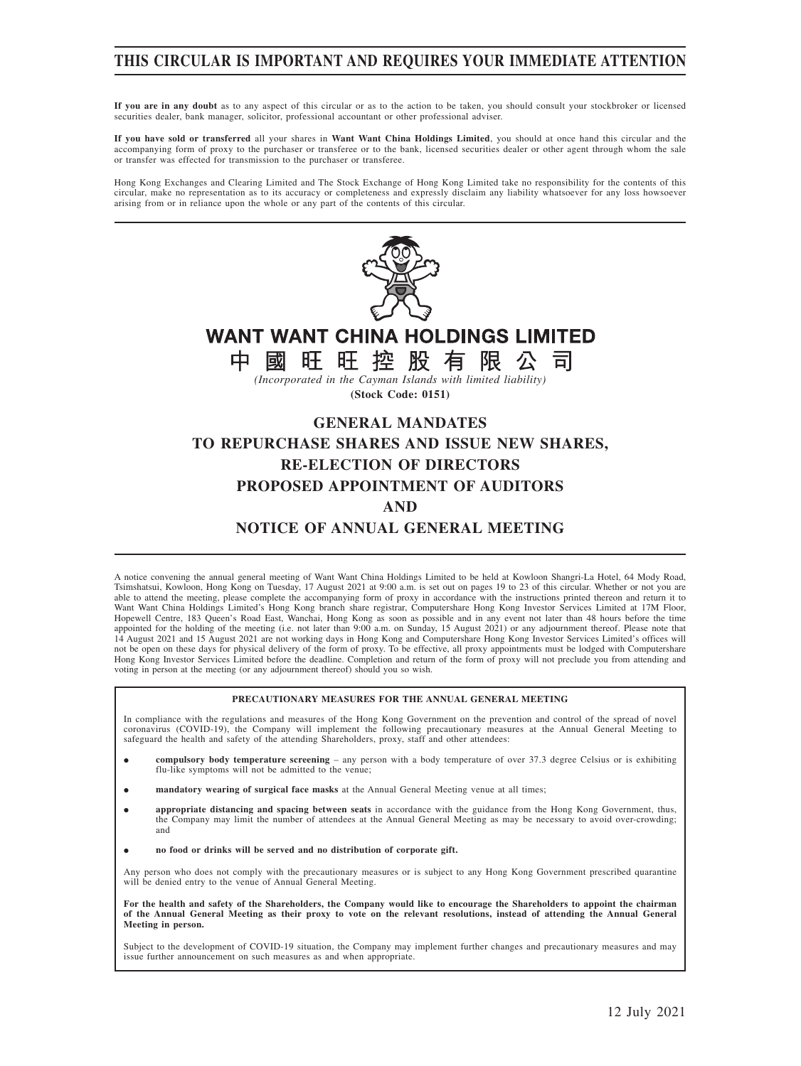## **THIS CIRCULAR IS IMPORTANT AND REQUIRES YOUR IMMEDIATE ATTENTION**

**If you are in any doubt** as to any aspect of this circular or as to the action to be taken, you should consult your stockbroker or licensed securities dealer, bank manager, solicitor, professional accountant or other professional adviser.

**If you have sold or transferred** all your shares in **Want Want China Holdings Limited**, you should at once hand this circular and the accompanying form of proxy to the purchaser or transferee or to the bank, licensed securities dealer or other agent through whom the sale or transfer was effected for transmission to the purchaser or transferee.

Hong Kong Exchanges and Clearing Limited and The Stock Exchange of Hong Kong Limited take no responsibility for the contents of this circular, make no representation as to its accuracy or completeness and expressly disclaim any liability whatsoever for any loss howsoever<br>arising from or in reliance upon the whole or any part of the contents of this circ



A notice convening the annual general meeting of Want Want China Holdings Limited to be held at Kowloon Shangri-La Hotel, 64 Mody Road, Tsimshatsui, Kowloon, Hong Kong on Tuesday, 17 August 2021 at 9:00 a.m. is set out on pages 19 to 23 of this circular. Whether or not you are able to attend the meeting, please complete the accompanying form of proxy in accordance with the instructions printed thereon and return it to Want Want China Holdings Limited's Hong Kong branch share registrar, Computershare Hong Kong Investor Services Limited at 17M Floor,<br>Hopewell Centre, 183 Queen's Road East, Wanchai, Hong Kong as soon as possible and in any appointed for the holding of the meeting (i.e. not later than 9:00 a.m. on Sunday, 15 August 2021) or any adjournment thereof. Please note that 14 August 2021 and 15 August 2021 are not working days in Hong Kong and Computershare Hong Kong Investor Services Limited's offices will not be open on these days for physical delivery of the form of proxy. To be effective, all proxy appointments must be lodged with Computershare Hong Kong Investor Services Limited before the deadline. Completion and return of the form of proxy will not preclude you from attending and voting in person at the meeting (or any adjournment thereof) should you so wish.

### **PRECAUTIONARY MEASURES FOR THE ANNUAL GENERAL MEETING**

In compliance with the regulations and measures of the Hong Kong Government on the prevention and control of the spread of novel coronavirus (COVID-19), the Company will implement the following precautionary measures at the Annual General Meeting to safeguard the health and safety of the attending Shareholders, proxy, staff and other attendees:

- $\bullet$  **compulsory body temperature screening** – any person with a body temperature of over 37.3 degree Celsius or is exhibiting flu-like symptoms will not be admitted to the venue;
- $\bullet$ **mandatory wearing of surgical face masks** at the Annual General Meeting venue at all times;
- $\bullet$  **appropriate distancing and spacing between seats** in accordance with the guidance from the Hong Kong Government, thus, the Company may limit the number of attendees at the Annual General Meeting as may be necessary to avoid over-crowding; and
- $\bullet$ **no food or drinks will be served and no distribution of corporate gift.**

Any person who does not comply with the precautionary measures or is subject to any Hong Kong Government prescribed quarantine will be denied entry to the venue of Annual General Meeting.

For the health and safety of the Shareholders, the Company would like to encourage the Shareholders to appoint the chairman<br>of the Annual General Meeting as their proxy to vote on the relevant resolutions, instead of atten **Meeting in person.**

Subject to the development of COVID-19 situation, the Company may implement further changes and precautionary measures and may issue further announcement on such measures as and when appropriate.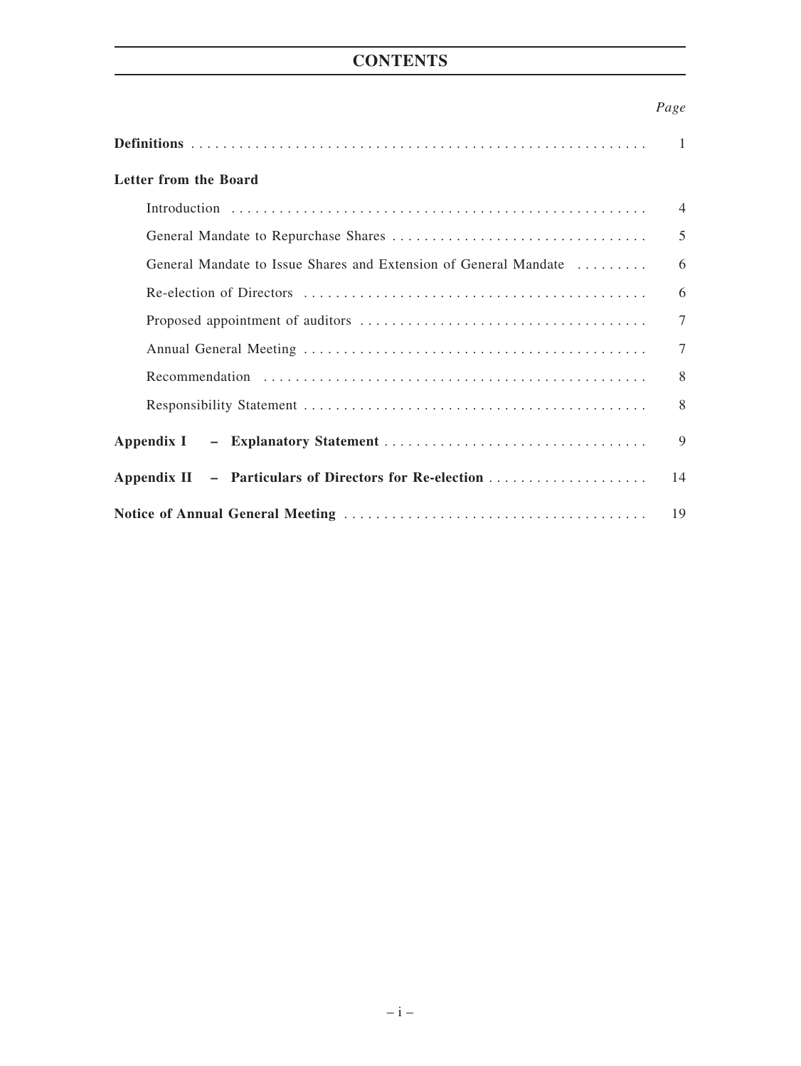# **CONTENTS**

## *Page*

|                                                                  | $\mathbf{1}$   |
|------------------------------------------------------------------|----------------|
| Letter from the Board                                            |                |
|                                                                  | $\overline{4}$ |
|                                                                  | 5              |
| General Mandate to Issue Shares and Extension of General Mandate | 6              |
|                                                                  | 6              |
|                                                                  | $\tau$         |
|                                                                  | $\tau$         |
|                                                                  | 8              |
|                                                                  | 8              |
|                                                                  | 9              |
|                                                                  | 14             |
|                                                                  | 19             |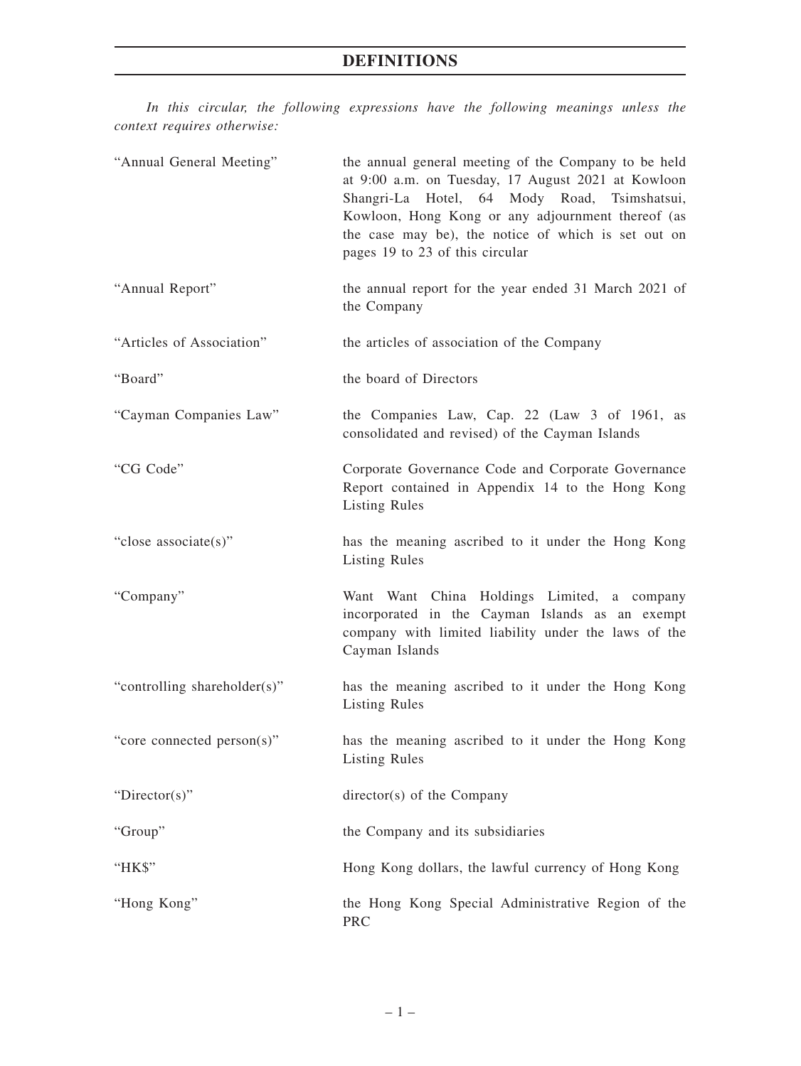*In this circular, the following expressions have the following meanings unless the context requires otherwise:*

| "Annual General Meeting"     | the annual general meeting of the Company to be held<br>at 9:00 a.m. on Tuesday, 17 August 2021 at Kowloon<br>Shangri-La Hotel, 64 Mody Road, Tsimshatsui,<br>Kowloon, Hong Kong or any adjournment thereof (as<br>the case may be), the notice of which is set out on<br>pages 19 to 23 of this circular |
|------------------------------|-----------------------------------------------------------------------------------------------------------------------------------------------------------------------------------------------------------------------------------------------------------------------------------------------------------|
| "Annual Report"              | the annual report for the year ended 31 March 2021 of<br>the Company                                                                                                                                                                                                                                      |
| "Articles of Association"    | the articles of association of the Company                                                                                                                                                                                                                                                                |
| "Board"                      | the board of Directors                                                                                                                                                                                                                                                                                    |
| "Cayman Companies Law"       | the Companies Law, Cap. 22 (Law 3 of 1961, as<br>consolidated and revised) of the Cayman Islands                                                                                                                                                                                                          |
| "CG Code"                    | Corporate Governance Code and Corporate Governance<br>Report contained in Appendix 14 to the Hong Kong<br><b>Listing Rules</b>                                                                                                                                                                            |
| "close associate(s)"         | has the meaning ascribed to it under the Hong Kong<br><b>Listing Rules</b>                                                                                                                                                                                                                                |
| "Company"                    | Want Want China Holdings Limited, a company<br>incorporated in the Cayman Islands as an exempt<br>company with limited liability under the laws of the<br>Cayman Islands                                                                                                                                  |
| "controlling shareholder(s)" | has the meaning ascribed to it under the Hong Kong<br><b>Listing Rules</b>                                                                                                                                                                                                                                |
| "core connected person(s)"   | has the meaning ascribed to it under the Hong Kong<br><b>Listing Rules</b>                                                                                                                                                                                                                                |
| " $Directory$ "              | director(s) of the Company                                                                                                                                                                                                                                                                                |
| "Group"                      | the Company and its subsidiaries                                                                                                                                                                                                                                                                          |
| "HK\$"                       | Hong Kong dollars, the lawful currency of Hong Kong                                                                                                                                                                                                                                                       |
| "Hong Kong"                  | the Hong Kong Special Administrative Region of the<br>PRC                                                                                                                                                                                                                                                 |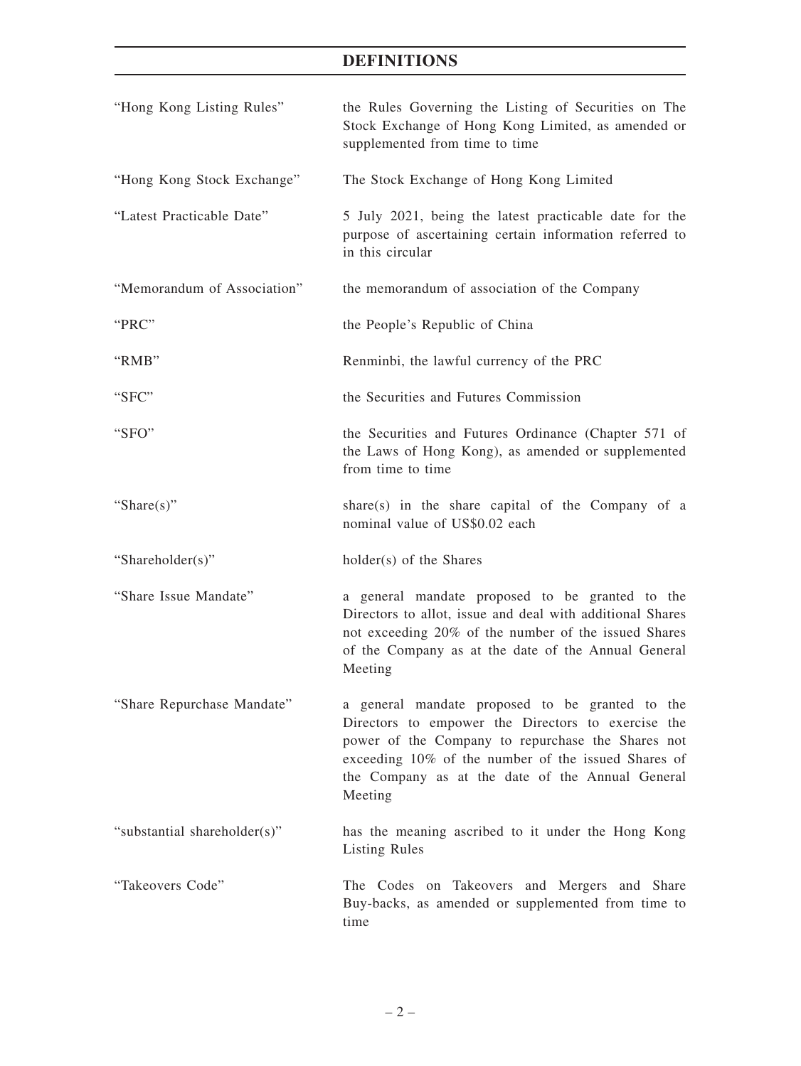# **DEFINITIONS**

| "Hong Kong Listing Rules"    | the Rules Governing the Listing of Securities on The<br>Stock Exchange of Hong Kong Limited, as amended or<br>supplemented from time to time                                                                                                                                     |
|------------------------------|----------------------------------------------------------------------------------------------------------------------------------------------------------------------------------------------------------------------------------------------------------------------------------|
| "Hong Kong Stock Exchange"   | The Stock Exchange of Hong Kong Limited                                                                                                                                                                                                                                          |
| "Latest Practicable Date"    | 5 July 2021, being the latest practicable date for the<br>purpose of ascertaining certain information referred to<br>in this circular                                                                                                                                            |
| "Memorandum of Association"  | the memorandum of association of the Company                                                                                                                                                                                                                                     |
| "PRC"                        | the People's Republic of China                                                                                                                                                                                                                                                   |
| "RMB"                        | Renminbi, the lawful currency of the PRC                                                                                                                                                                                                                                         |
| "SFC"                        | the Securities and Futures Commission                                                                                                                                                                                                                                            |
| "SFO"                        | the Securities and Futures Ordinance (Chapter 571 of<br>the Laws of Hong Kong), as amended or supplemented<br>from time to time                                                                                                                                                  |
| "Share $(s)$ "               | share(s) in the share capital of the Company of a<br>nominal value of US\$0.02 each                                                                                                                                                                                              |
| "Shareholder(s)"             | holder(s) of the Shares                                                                                                                                                                                                                                                          |
| "Share Issue Mandate"        | a general mandate proposed to be granted to the<br>Directors to allot, issue and deal with additional Shares<br>not exceeding 20% of the number of the issued Shares<br>of the Company as at the date of the Annual General<br>Meeting                                           |
| "Share Repurchase Mandate"   | a general mandate proposed to be granted to the<br>Directors to empower the Directors to exercise the<br>power of the Company to repurchase the Shares not<br>exceeding 10% of the number of the issued Shares of<br>the Company as at the date of the Annual General<br>Meeting |
| "substantial shareholder(s)" | has the meaning ascribed to it under the Hong Kong<br><b>Listing Rules</b>                                                                                                                                                                                                       |
| "Takeovers Code"             | The Codes on Takeovers and Mergers and Share<br>Buy-backs, as amended or supplemented from time to<br>time                                                                                                                                                                       |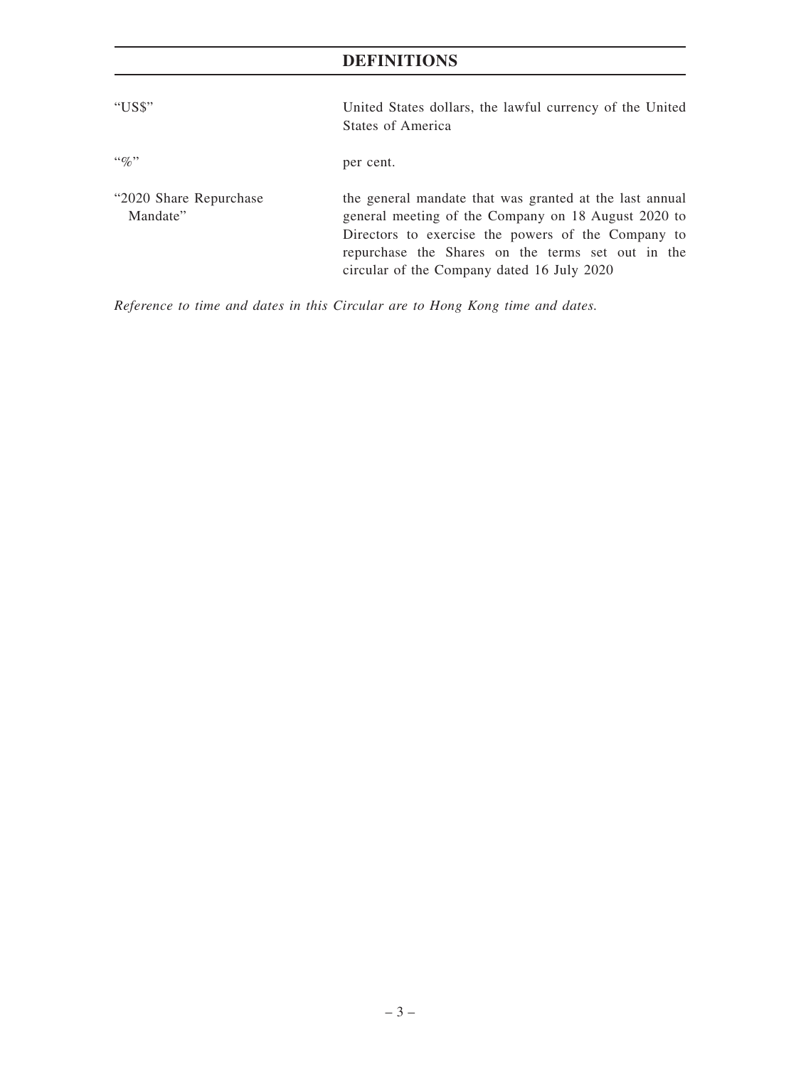# **DEFINITIONS**

| "US\$"                              | United States dollars, the lawful currency of the United<br><b>States of America</b>                                                                                                                                                                                    |
|-------------------------------------|-------------------------------------------------------------------------------------------------------------------------------------------------------------------------------------------------------------------------------------------------------------------------|
| $\lq\lq q_0$                        | per cent.                                                                                                                                                                                                                                                               |
| "2020 Share Repurchase"<br>Mandate" | the general mandate that was granted at the last annual<br>general meeting of the Company on 18 August 2020 to<br>Directors to exercise the powers of the Company to<br>repurchase the Shares on the terms set out in the<br>circular of the Company dated 16 July 2020 |

*Reference to time and dates in this Circular are to Hong Kong time and dates.*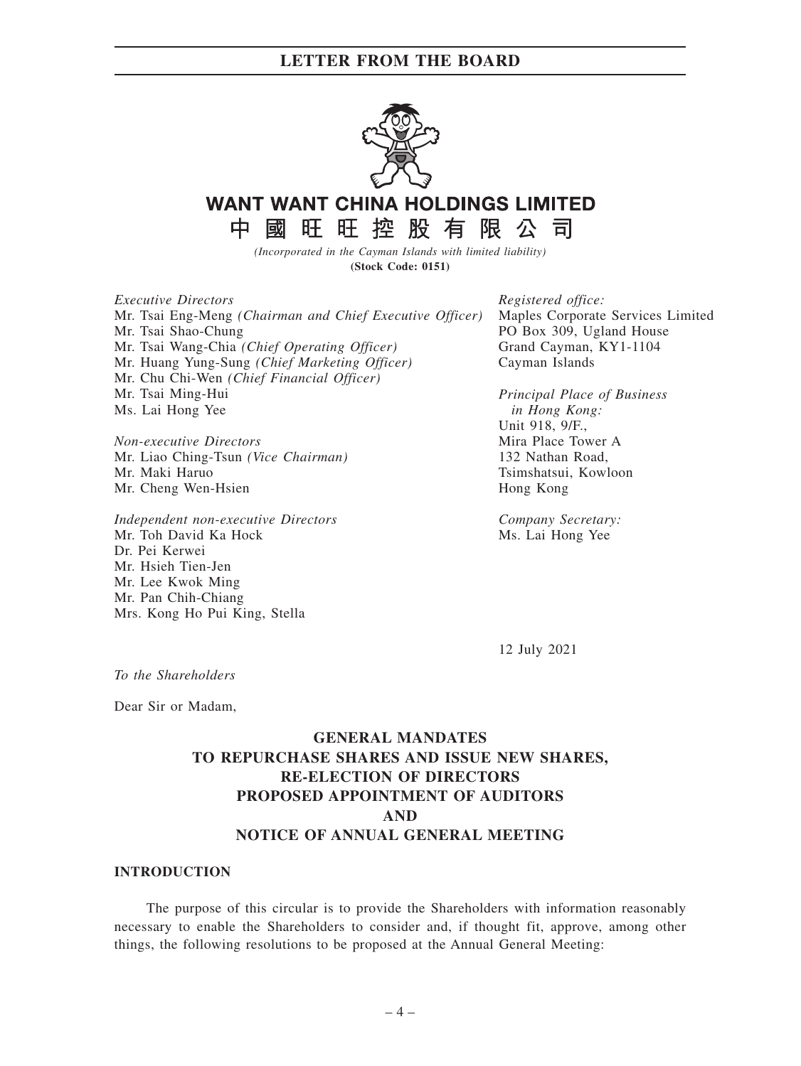

# **WANT WANT CHINA HOLDINGS LIMITED**

國旺旺控股有限公司

*(Incorporated in the Cayman Islands with limited liability)* **(Stock Code: 0151)**

*Executive Directors* Mr. Tsai Eng-Meng *(Chairman and Chief Executive Officer)* Mr. Tsai Shao-Chung Mr. Tsai Wang-Chia *(Chief Operating Officer)* Mr. Huang Yung-Sung *(Chief Marketing Officer)* Mr. Chu Chi-Wen *(Chief Financial Officer)* Mr. Tsai Ming-Hui Ms. Lai Hong Yee

*Non-executive Directors* Mr. Liao Ching-Tsun *(Vice Chairman)* Mr. Maki Haruo Mr. Cheng Wen-Hsien

中

*Independent non-executive Directors* Mr. Toh David Ka Hock Dr. Pei Kerwei Mr. Hsieh Tien-Jen Mr. Lee Kwok Ming Mr. Pan Chih-Chiang Mrs. Kong Ho Pui King, Stella

*Registered office:* Maples Corporate Services Limited PO Box 309, Ugland House Grand Cayman, KY1-1104 Cayman Islands

*Principal Place of Business in Hong Kong:* Unit 918, 9/F., Mira Place Tower A 132 Nathan Road, Tsimshatsui, Kowloon Hong Kong

*Company Secretary:* Ms. Lai Hong Yee

12 July 2021

*To the Shareholders*

Dear Sir or Madam,

## **GENERAL MANDATES TO REPURCHASE SHARES AND ISSUE NEW SHARES, RE-ELECTION OF DIRECTORS PROPOSED APPOINTMENT OF AUDITORS AND NOTICE OF ANNUAL GENERAL MEETING**

### **INTRODUCTION**

The purpose of this circular is to provide the Shareholders with information reasonably necessary to enable the Shareholders to consider and, if thought fit, approve, among other things, the following resolutions to be proposed at the Annual General Meeting: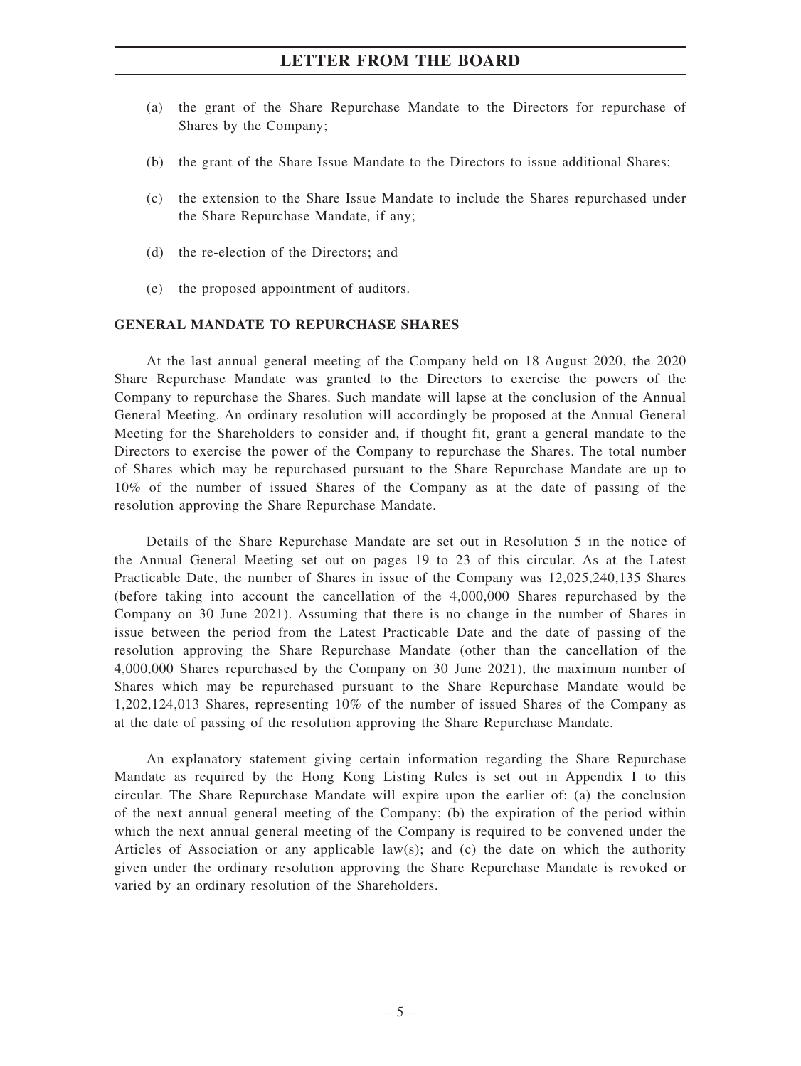- (a) the grant of the Share Repurchase Mandate to the Directors for repurchase of Shares by the Company;
- (b) the grant of the Share Issue Mandate to the Directors to issue additional Shares;
- (c) the extension to the Share Issue Mandate to include the Shares repurchased under the Share Repurchase Mandate, if any;
- (d) the re-election of the Directors; and
- (e) the proposed appointment of auditors.

### **GENERAL MANDATE TO REPURCHASE SHARES**

At the last annual general meeting of the Company held on 18 August 2020, the 2020 Share Repurchase Mandate was granted to the Directors to exercise the powers of the Company to repurchase the Shares. Such mandate will lapse at the conclusion of the Annual General Meeting. An ordinary resolution will accordingly be proposed at the Annual General Meeting for the Shareholders to consider and, if thought fit, grant a general mandate to the Directors to exercise the power of the Company to repurchase the Shares. The total number of Shares which may be repurchased pursuant to the Share Repurchase Mandate are up to 10% of the number of issued Shares of the Company as at the date of passing of the resolution approving the Share Repurchase Mandate.

Details of the Share Repurchase Mandate are set out in Resolution 5 in the notice of the Annual General Meeting set out on pages 19 to 23 of this circular. As at the Latest Practicable Date, the number of Shares in issue of the Company was 12,025,240,135 Shares (before taking into account the cancellation of the 4,000,000 Shares repurchased by the Company on 30 June 2021). Assuming that there is no change in the number of Shares in issue between the period from the Latest Practicable Date and the date of passing of the resolution approving the Share Repurchase Mandate (other than the cancellation of the 4,000,000 Shares repurchased by the Company on 30 June 2021), the maximum number of Shares which may be repurchased pursuant to the Share Repurchase Mandate would be 1,202,124,013 Shares, representing 10% of the number of issued Shares of the Company as at the date of passing of the resolution approving the Share Repurchase Mandate.

An explanatory statement giving certain information regarding the Share Repurchase Mandate as required by the Hong Kong Listing Rules is set out in Appendix I to this circular. The Share Repurchase Mandate will expire upon the earlier of: (a) the conclusion of the next annual general meeting of the Company; (b) the expiration of the period within which the next annual general meeting of the Company is required to be convened under the Articles of Association or any applicable law(s); and (c) the date on which the authority given under the ordinary resolution approving the Share Repurchase Mandate is revoked or varied by an ordinary resolution of the Shareholders.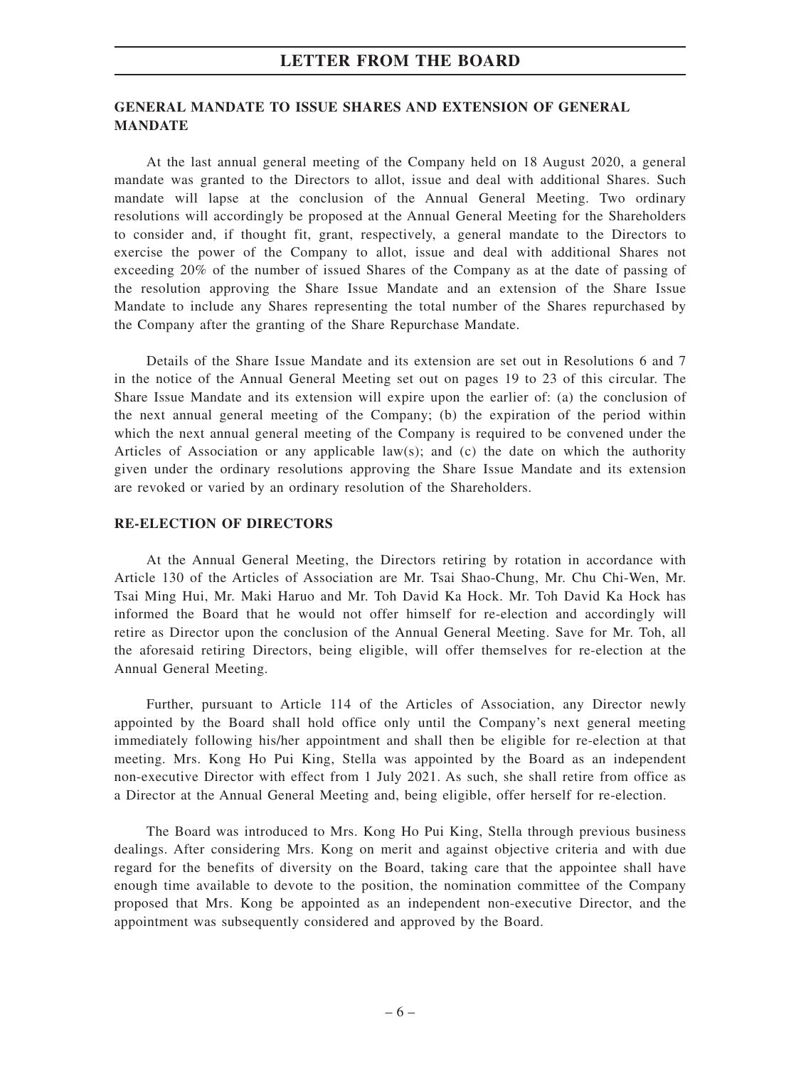### **GENERAL MANDATE TO ISSUE SHARES AND EXTENSION OF GENERAL MANDATE**

At the last annual general meeting of the Company held on 18 August 2020, a general mandate was granted to the Directors to allot, issue and deal with additional Shares. Such mandate will lapse at the conclusion of the Annual General Meeting. Two ordinary resolutions will accordingly be proposed at the Annual General Meeting for the Shareholders to consider and, if thought fit, grant, respectively, a general mandate to the Directors to exercise the power of the Company to allot, issue and deal with additional Shares not exceeding 20% of the number of issued Shares of the Company as at the date of passing of the resolution approving the Share Issue Mandate and an extension of the Share Issue Mandate to include any Shares representing the total number of the Shares repurchased by the Company after the granting of the Share Repurchase Mandate.

Details of the Share Issue Mandate and its extension are set out in Resolutions 6 and 7 in the notice of the Annual General Meeting set out on pages 19 to 23 of this circular. The Share Issue Mandate and its extension will expire upon the earlier of: (a) the conclusion of the next annual general meeting of the Company; (b) the expiration of the period within which the next annual general meeting of the Company is required to be convened under the Articles of Association or any applicable law(s); and (c) the date on which the authority given under the ordinary resolutions approving the Share Issue Mandate and its extension are revoked or varied by an ordinary resolution of the Shareholders.

### **RE-ELECTION OF DIRECTORS**

At the Annual General Meeting, the Directors retiring by rotation in accordance with Article 130 of the Articles of Association are Mr. Tsai Shao-Chung, Mr. Chu Chi-Wen, Mr. Tsai Ming Hui, Mr. Maki Haruo and Mr. Toh David Ka Hock. Mr. Toh David Ka Hock has informed the Board that he would not offer himself for re-election and accordingly will retire as Director upon the conclusion of the Annual General Meeting. Save for Mr. Toh, all the aforesaid retiring Directors, being eligible, will offer themselves for re-election at the Annual General Meeting.

Further, pursuant to Article 114 of the Articles of Association, any Director newly appointed by the Board shall hold office only until the Company's next general meeting immediately following his/her appointment and shall then be eligible for re-election at that meeting. Mrs. Kong Ho Pui King, Stella was appointed by the Board as an independent non-executive Director with effect from 1 July 2021. As such, she shall retire from office as a Director at the Annual General Meeting and, being eligible, offer herself for re-election.

The Board was introduced to Mrs. Kong Ho Pui King, Stella through previous business dealings. After considering Mrs. Kong on merit and against objective criteria and with due regard for the benefits of diversity on the Board, taking care that the appointee shall have enough time available to devote to the position, the nomination committee of the Company proposed that Mrs. Kong be appointed as an independent non-executive Director, and the appointment was subsequently considered and approved by the Board.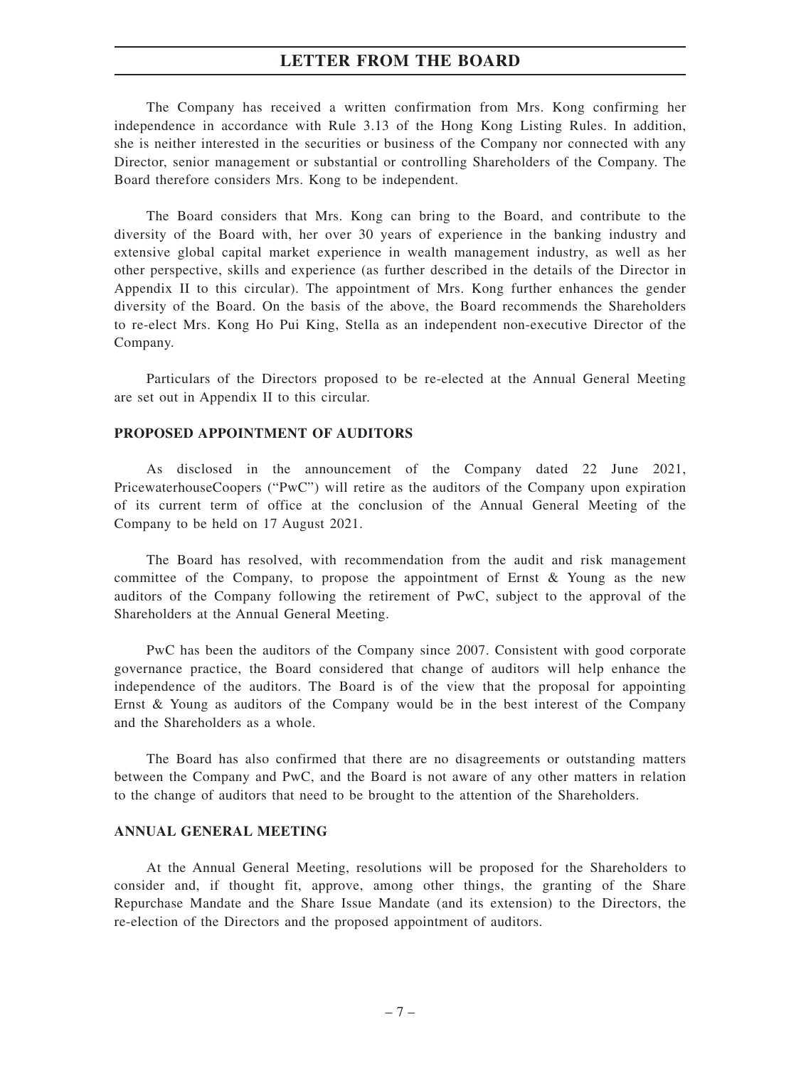The Company has received a written confirmation from Mrs. Kong confirming her independence in accordance with Rule 3.13 of the Hong Kong Listing Rules. In addition, she is neither interested in the securities or business of the Company nor connected with any Director, senior management or substantial or controlling Shareholders of the Company. The Board therefore considers Mrs. Kong to be independent.

The Board considers that Mrs. Kong can bring to the Board, and contribute to the diversity of the Board with, her over 30 years of experience in the banking industry and extensive global capital market experience in wealth management industry, as well as her other perspective, skills and experience (as further described in the details of the Director in Appendix II to this circular). The appointment of Mrs. Kong further enhances the gender diversity of the Board. On the basis of the above, the Board recommends the Shareholders to re-elect Mrs. Kong Ho Pui King, Stella as an independent non-executive Director of the Company.

Particulars of the Directors proposed to be re-elected at the Annual General Meeting are set out in Appendix II to this circular.

### **PROPOSED APPOINTMENT OF AUDITORS**

As disclosed in the announcement of the Company dated 22 June 2021, PricewaterhouseCoopers ("PwC") will retire as the auditors of the Company upon expiration of its current term of office at the conclusion of the Annual General Meeting of the Company to be held on 17 August 2021.

The Board has resolved, with recommendation from the audit and risk management committee of the Company, to propose the appointment of Ernst & Young as the new auditors of the Company following the retirement of PwC, subject to the approval of the Shareholders at the Annual General Meeting.

PwC has been the auditors of the Company since 2007. Consistent with good corporate governance practice, the Board considered that change of auditors will help enhance the independence of the auditors. The Board is of the view that the proposal for appointing Ernst & Young as auditors of the Company would be in the best interest of the Company and the Shareholders as a whole.

The Board has also confirmed that there are no disagreements or outstanding matters between the Company and PwC, and the Board is not aware of any other matters in relation to the change of auditors that need to be brought to the attention of the Shareholders.

### **ANNUAL GENERAL MEETING**

At the Annual General Meeting, resolutions will be proposed for the Shareholders to consider and, if thought fit, approve, among other things, the granting of the Share Repurchase Mandate and the Share Issue Mandate (and its extension) to the Directors, the re-election of the Directors and the proposed appointment of auditors.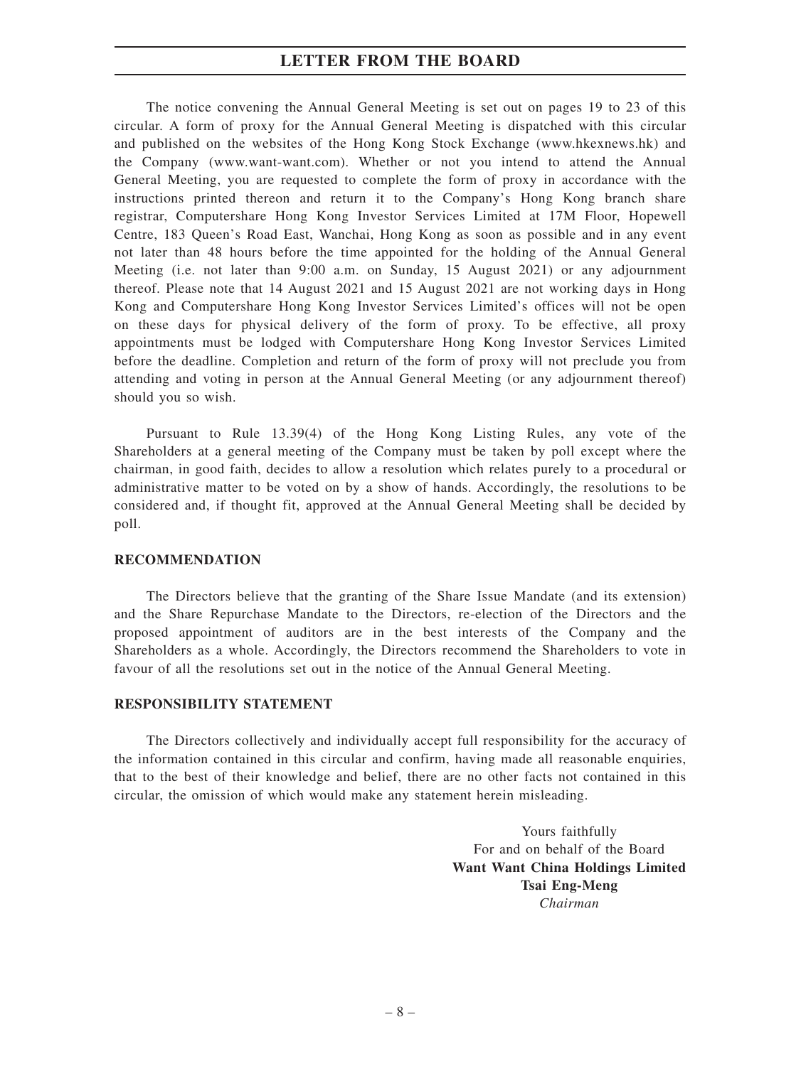The notice convening the Annual General Meeting is set out on pages 19 to 23 of this circular. A form of proxy for the Annual General Meeting is dispatched with this circular and published on the websites of the Hong Kong Stock Exchange (www.hkexnews.hk) and the Company (www.want-want.com). Whether or not you intend to attend the Annual General Meeting, you are requested to complete the form of proxy in accordance with the instructions printed thereon and return it to the Company's Hong Kong branch share registrar, Computershare Hong Kong Investor Services Limited at 17M Floor, Hopewell Centre, 183 Queen's Road East, Wanchai, Hong Kong as soon as possible and in any event not later than 48 hours before the time appointed for the holding of the Annual General Meeting (i.e. not later than 9:00 a.m. on Sunday, 15 August 2021) or any adjournment thereof. Please note that 14 August 2021 and 15 August 2021 are not working days in Hong Kong and Computershare Hong Kong Investor Services Limited's offices will not be open on these days for physical delivery of the form of proxy. To be effective, all proxy appointments must be lodged with Computershare Hong Kong Investor Services Limited before the deadline. Completion and return of the form of proxy will not preclude you from attending and voting in person at the Annual General Meeting (or any adjournment thereof) should you so wish.

Pursuant to Rule 13.39(4) of the Hong Kong Listing Rules, any vote of the Shareholders at a general meeting of the Company must be taken by poll except where the chairman, in good faith, decides to allow a resolution which relates purely to a procedural or administrative matter to be voted on by a show of hands. Accordingly, the resolutions to be considered and, if thought fit, approved at the Annual General Meeting shall be decided by poll.

### **RECOMMENDATION**

The Directors believe that the granting of the Share Issue Mandate (and its extension) and the Share Repurchase Mandate to the Directors, re-election of the Directors and the proposed appointment of auditors are in the best interests of the Company and the Shareholders as a whole. Accordingly, the Directors recommend the Shareholders to vote in favour of all the resolutions set out in the notice of the Annual General Meeting.

### **RESPONSIBILITY STATEMENT**

The Directors collectively and individually accept full responsibility for the accuracy of the information contained in this circular and confirm, having made all reasonable enquiries, that to the best of their knowledge and belief, there are no other facts not contained in this circular, the omission of which would make any statement herein misleading.

> Yours faithfully For and on behalf of the Board **Want Want China Holdings Limited Tsai Eng-Meng** *Chairman*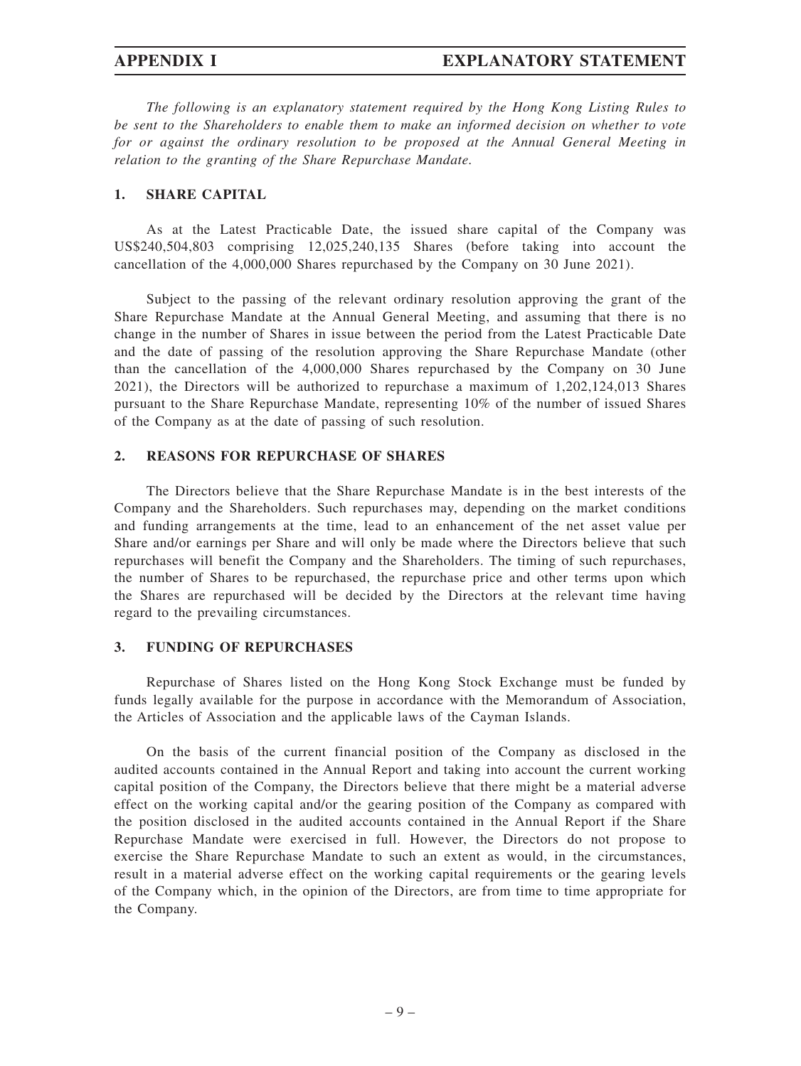*The following is an explanatory statement required by the Hong Kong Listing Rules to be sent to the Shareholders to enable them to make an informed decision on whether to vote for or against the ordinary resolution to be proposed at the Annual General Meeting in relation to the granting of the Share Repurchase Mandate.*

### **1. SHARE CAPITAL**

As at the Latest Practicable Date, the issued share capital of the Company was US\$240,504,803 comprising 12,025,240,135 Shares (before taking into account the cancellation of the 4,000,000 Shares repurchased by the Company on 30 June 2021).

Subject to the passing of the relevant ordinary resolution approving the grant of the Share Repurchase Mandate at the Annual General Meeting, and assuming that there is no change in the number of Shares in issue between the period from the Latest Practicable Date and the date of passing of the resolution approving the Share Repurchase Mandate (other than the cancellation of the 4,000,000 Shares repurchased by the Company on 30 June 2021), the Directors will be authorized to repurchase a maximum of 1,202,124,013 Shares pursuant to the Share Repurchase Mandate, representing 10% of the number of issued Shares of the Company as at the date of passing of such resolution.

### **2. REASONS FOR REPURCHASE OF SHARES**

The Directors believe that the Share Repurchase Mandate is in the best interests of the Company and the Shareholders. Such repurchases may, depending on the market conditions and funding arrangements at the time, lead to an enhancement of the net asset value per Share and/or earnings per Share and will only be made where the Directors believe that such repurchases will benefit the Company and the Shareholders. The timing of such repurchases, the number of Shares to be repurchased, the repurchase price and other terms upon which the Shares are repurchased will be decided by the Directors at the relevant time having regard to the prevailing circumstances.

### **3. FUNDING OF REPURCHASES**

Repurchase of Shares listed on the Hong Kong Stock Exchange must be funded by funds legally available for the purpose in accordance with the Memorandum of Association, the Articles of Association and the applicable laws of the Cayman Islands.

On the basis of the current financial position of the Company as disclosed in the audited accounts contained in the Annual Report and taking into account the current working capital position of the Company, the Directors believe that there might be a material adverse effect on the working capital and/or the gearing position of the Company as compared with the position disclosed in the audited accounts contained in the Annual Report if the Share Repurchase Mandate were exercised in full. However, the Directors do not propose to exercise the Share Repurchase Mandate to such an extent as would, in the circumstances, result in a material adverse effect on the working capital requirements or the gearing levels of the Company which, in the opinion of the Directors, are from time to time appropriate for the Company.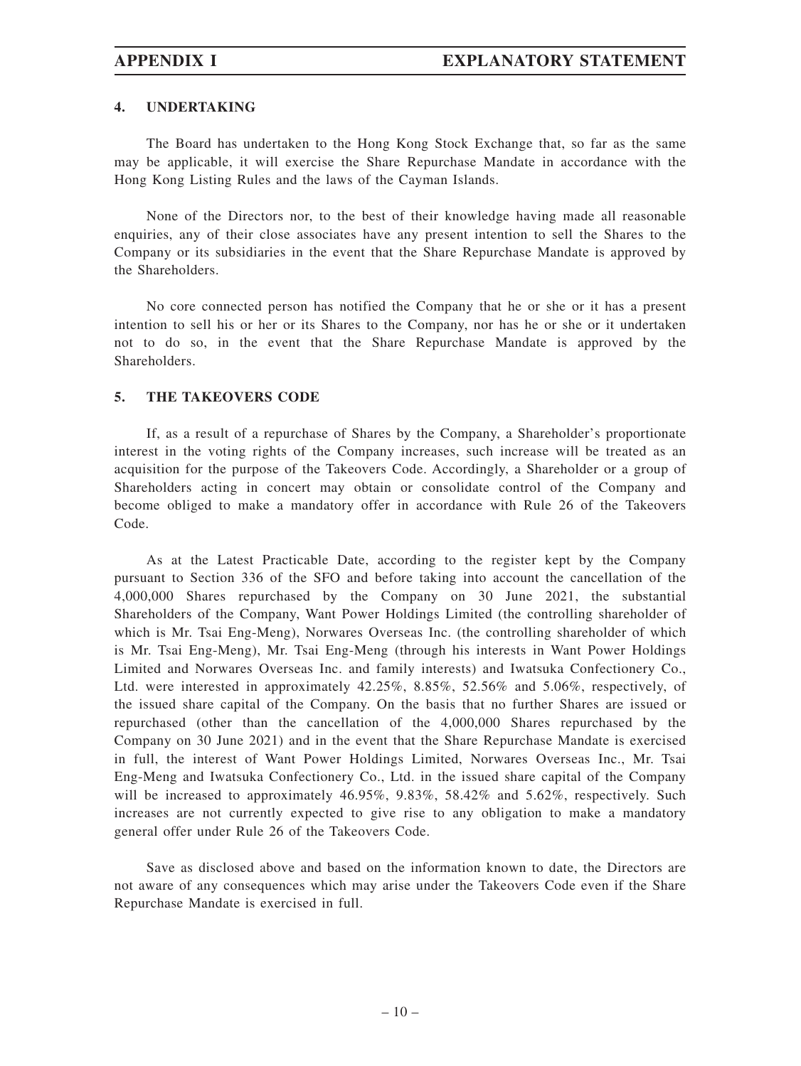### **4. UNDERTAKING**

The Board has undertaken to the Hong Kong Stock Exchange that, so far as the same may be applicable, it will exercise the Share Repurchase Mandate in accordance with the Hong Kong Listing Rules and the laws of the Cayman Islands.

None of the Directors nor, to the best of their knowledge having made all reasonable enquiries, any of their close associates have any present intention to sell the Shares to the Company or its subsidiaries in the event that the Share Repurchase Mandate is approved by the Shareholders.

No core connected person has notified the Company that he or she or it has a present intention to sell his or her or its Shares to the Company, nor has he or she or it undertaken not to do so, in the event that the Share Repurchase Mandate is approved by the Shareholders.

### **5. THE TAKEOVERS CODE**

If, as a result of a repurchase of Shares by the Company, a Shareholder's proportionate interest in the voting rights of the Company increases, such increase will be treated as an acquisition for the purpose of the Takeovers Code. Accordingly, a Shareholder or a group of Shareholders acting in concert may obtain or consolidate control of the Company and become obliged to make a mandatory offer in accordance with Rule 26 of the Takeovers Code.

As at the Latest Practicable Date, according to the register kept by the Company pursuant to Section 336 of the SFO and before taking into account the cancellation of the 4,000,000 Shares repurchased by the Company on 30 June 2021, the substantial Shareholders of the Company, Want Power Holdings Limited (the controlling shareholder of which is Mr. Tsai Eng-Meng), Norwares Overseas Inc. (the controlling shareholder of which is Mr. Tsai Eng-Meng), Mr. Tsai Eng-Meng (through his interests in Want Power Holdings Limited and Norwares Overseas Inc. and family interests) and Iwatsuka Confectionery Co., Ltd. were interested in approximately 42.25%, 8.85%, 52.56% and 5.06%, respectively, of the issued share capital of the Company. On the basis that no further Shares are issued or repurchased (other than the cancellation of the 4,000,000 Shares repurchased by the Company on 30 June 2021) and in the event that the Share Repurchase Mandate is exercised in full, the interest of Want Power Holdings Limited, Norwares Overseas Inc., Mr. Tsai Eng-Meng and Iwatsuka Confectionery Co., Ltd. in the issued share capital of the Company will be increased to approximately 46.95%, 9.83%, 58.42% and 5.62%, respectively. Such increases are not currently expected to give rise to any obligation to make a mandatory general offer under Rule 26 of the Takeovers Code.

Save as disclosed above and based on the information known to date, the Directors are not aware of any consequences which may arise under the Takeovers Code even if the Share Repurchase Mandate is exercised in full.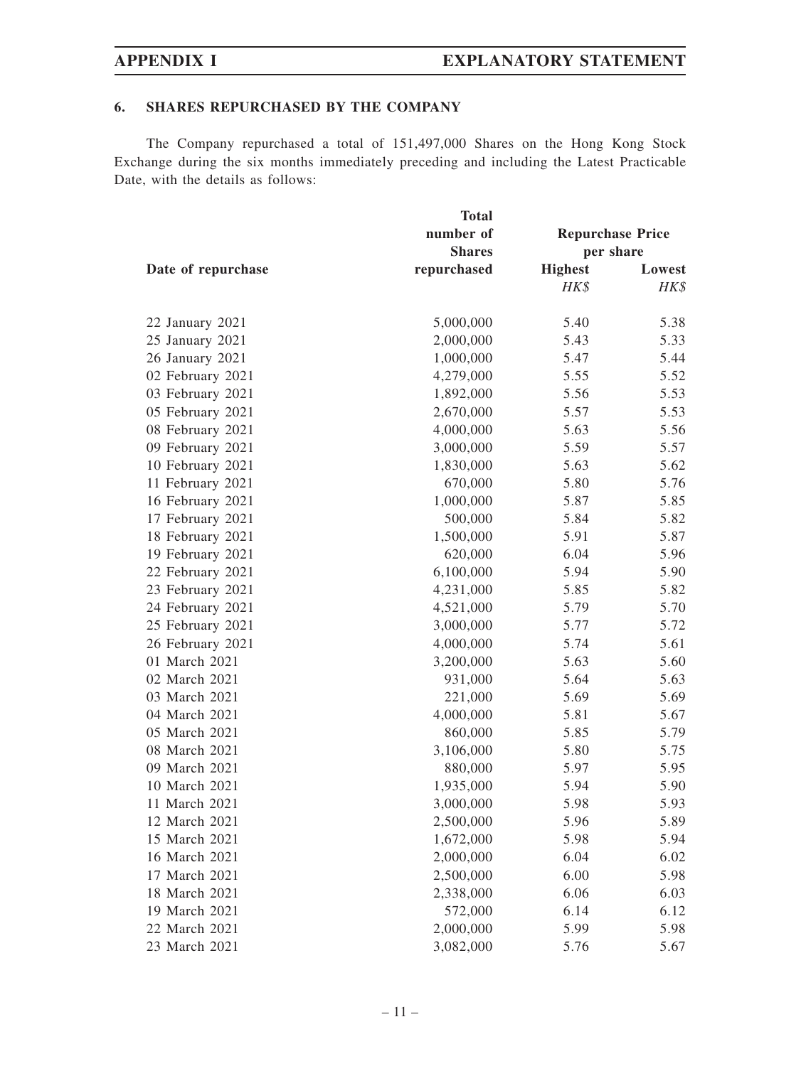## **6. SHARES REPURCHASED BY THE COMPANY**

The Company repurchased a total of 151,497,000 Shares on the Hong Kong Stock Exchange during the six months immediately preceding and including the Latest Practicable Date, with the details as follows:

|                    | <b>Total</b>  |                         |        |  |
|--------------------|---------------|-------------------------|--------|--|
| Date of repurchase | number of     | <b>Repurchase Price</b> |        |  |
|                    | <b>Shares</b> | per share               |        |  |
|                    | repurchased   | <b>Highest</b>          | Lowest |  |
|                    |               | HK\$                    | HK\$   |  |
| 22 January 2021    | 5,000,000     | 5.40                    | 5.38   |  |
| 25 January 2021    | 2,000,000     | 5.43                    | 5.33   |  |
| 26 January 2021    | 1,000,000     | 5.47                    | 5.44   |  |
| 02 February 2021   | 4,279,000     | 5.55                    | 5.52   |  |
| 03 February 2021   | 1,892,000     | 5.56                    | 5.53   |  |
| 05 February 2021   | 2,670,000     | 5.57                    | 5.53   |  |
| 08 February 2021   | 4,000,000     | 5.63                    | 5.56   |  |
| 09 February 2021   | 3,000,000     | 5.59                    | 5.57   |  |
| 10 February 2021   | 1,830,000     | 5.63                    | 5.62   |  |
| 11 February 2021   | 670,000       | 5.80                    | 5.76   |  |
| 16 February 2021   | 1,000,000     | 5.87                    | 5.85   |  |
| 17 February 2021   | 500,000       | 5.84                    | 5.82   |  |
| 18 February 2021   | 1,500,000     | 5.91                    | 5.87   |  |
| 19 February 2021   | 620,000       | 6.04                    | 5.96   |  |
| 22 February 2021   | 6,100,000     | 5.94                    | 5.90   |  |
| 23 February 2021   | 4,231,000     | 5.85                    | 5.82   |  |
| 24 February 2021   | 4,521,000     | 5.79                    | 5.70   |  |
| 25 February 2021   | 3,000,000     | 5.77                    | 5.72   |  |
| 26 February 2021   | 4,000,000     | 5.74                    | 5.61   |  |
| 01 March 2021      | 3,200,000     | 5.63                    | 5.60   |  |
| 02 March 2021      | 931,000       | 5.64                    | 5.63   |  |
| 03 March 2021      | 221,000       | 5.69                    | 5.69   |  |
| 04 March 2021      | 4,000,000     | 5.81                    | 5.67   |  |
| 05 March 2021      | 860,000       | 5.85                    | 5.79   |  |
| 08 March 2021      | 3,106,000     | 5.80                    | 5.75   |  |
| 09 March 2021      | 880,000       | 5.97                    | 5.95   |  |
| 10 March 2021      | 1,935,000     | 5.94                    | 5.90   |  |
| 11 March 2021      | 3,000,000     | 5.98                    | 5.93   |  |
| 12 March 2021      | 2,500,000     | 5.96                    | 5.89   |  |
| 15 March 2021      | 1,672,000     | 5.98                    | 5.94   |  |
| 16 March 2021      | 2,000,000     | 6.04                    | 6.02   |  |
| 17 March 2021      | 2,500,000     | 6.00                    | 5.98   |  |
| 18 March 2021      | 2,338,000     | 6.06                    | 6.03   |  |
| 19 March 2021      | 572,000       | 6.14                    | 6.12   |  |
| 22 March 2021      | 2,000,000     | 5.99                    | 5.98   |  |
| 23 March 2021      | 3,082,000     | 5.76                    | 5.67   |  |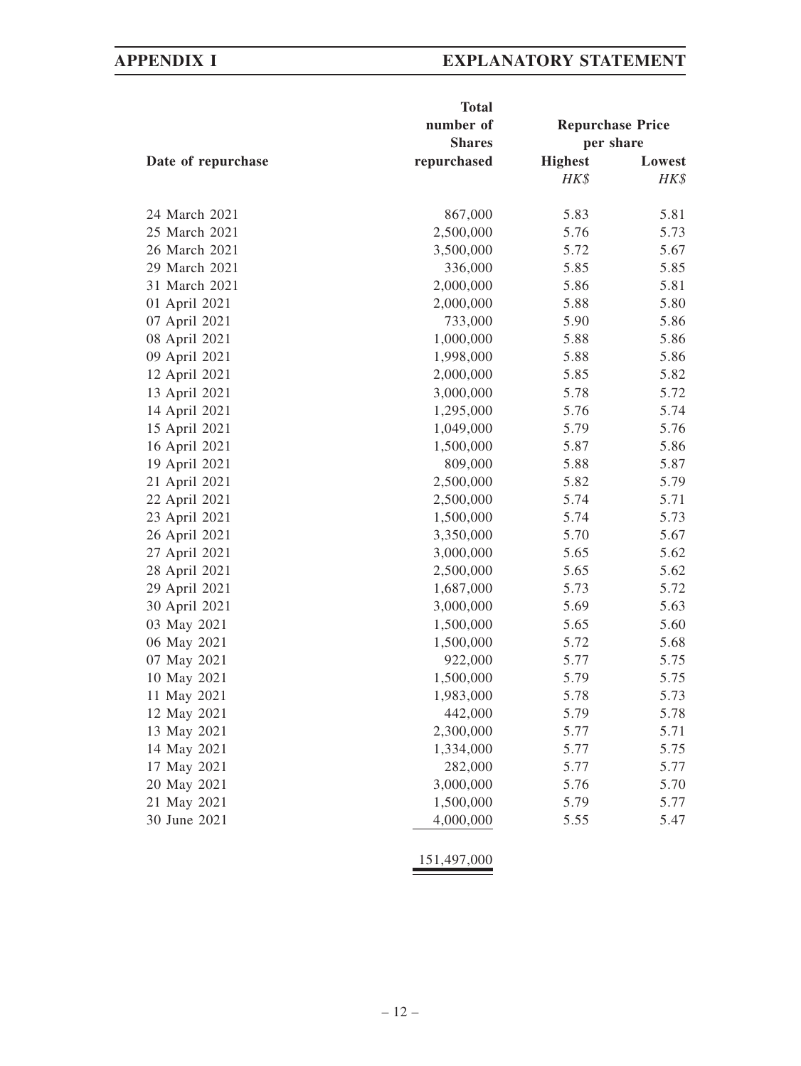|                    | <b>Total</b>           |                         |              |
|--------------------|------------------------|-------------------------|--------------|
|                    | number of              | <b>Repurchase Price</b> |              |
|                    | <b>Shares</b>          | per share               |              |
| Date of repurchase | repurchased            | <b>Highest</b>          | Lowest       |
|                    |                        | HK\$                    | HK\$         |
|                    |                        |                         |              |
| 24 March 2021      | 867,000                | 5.83                    | 5.81         |
| 25 March 2021      | 2,500,000              | 5.76                    | 5.73         |
| 26 March 2021      | 3,500,000              | 5.72                    | 5.67         |
| 29 March 2021      | 336,000                | 5.85                    | 5.85         |
| 31 March 2021      | 2,000,000              | 5.86                    | 5.81         |
| 01 April 2021      | 2,000,000              | 5.88                    | 5.80         |
| 07 April 2021      | 733,000                | 5.90                    | 5.86         |
| 08 April 2021      | 1,000,000              | 5.88                    | 5.86         |
| 09 April 2021      | 1,998,000              | 5.88                    | 5.86         |
| 12 April 2021      | 2,000,000              | 5.85                    | 5.82         |
| 13 April 2021      | 3,000,000              | 5.78                    | 5.72         |
| 14 April 2021      | 1,295,000              | 5.76                    | 5.74         |
| 15 April 2021      | 1,049,000              | 5.79                    | 5.76         |
| 16 April 2021      | 1,500,000              | 5.87                    | 5.86         |
| 19 April 2021      | 809,000                | 5.88                    | 5.87         |
| 21 April 2021      | 2,500,000              | 5.82                    | 5.79         |
| 22 April 2021      | 2,500,000              | 5.74                    | 5.71         |
| 23 April 2021      | 1,500,000              | 5.74                    | 5.73         |
| 26 April 2021      | 3,350,000              | 5.70                    | 5.67         |
| 27 April 2021      | 3,000,000              | 5.65                    | 5.62         |
| 28 April 2021      | 2,500,000              | 5.65                    | 5.62         |
| 29 April 2021      | 1,687,000              | 5.73                    | 5.72         |
| 30 April 2021      | 3,000,000              | 5.69                    | 5.63         |
| 03 May 2021        | 1,500,000              | 5.65                    | 5.60         |
| 06 May 2021        | 1,500,000              | 5.72                    | 5.68         |
| 07 May 2021        | 922,000                | 5.77                    | 5.75         |
| 10 May 2021        | 1,500,000              | 5.79                    | 5.75         |
| 11 May 2021        | 1,983,000              | 5.78                    | 5.73         |
| 12 May 2021        | 442,000                | 5.79                    | 5.78         |
| 13 May 2021        | 2,300,000              | 5.77                    | 5.71         |
| 14 May 2021        | 1,334,000              | 5.77                    | 5.75         |
| 17 May 2021        | 282,000                | 5.77                    | 5.77         |
|                    |                        |                         |              |
| 20 May 2021        | 3,000,000              | 5.76                    | 5.70         |
| 21 May 2021        | 1,500,000<br>4,000,000 | 5.79                    | 5.77<br>5.47 |
| 30 June 2021       |                        | 5.55                    |              |

151,497,000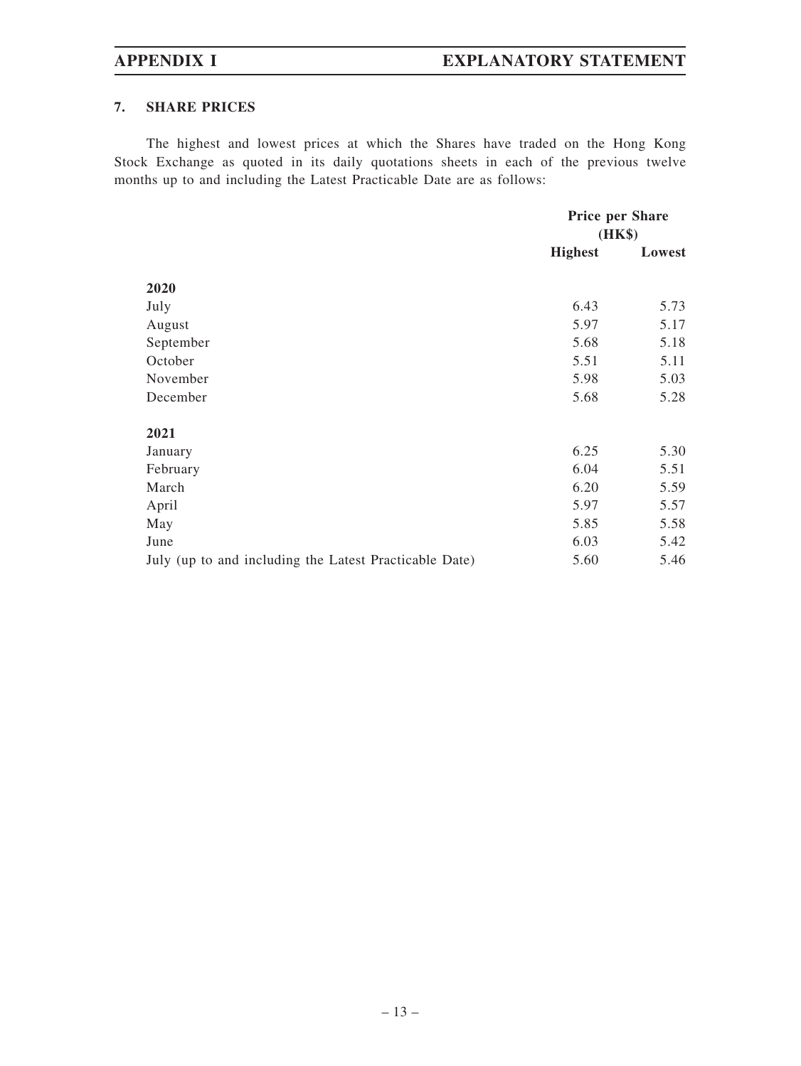## **7. SHARE PRICES**

The highest and lowest prices at which the Shares have traded on the Hong Kong Stock Exchange as quoted in its daily quotations sheets in each of the previous twelve months up to and including the Latest Practicable Date are as follows:

|                                                        | Price per Share<br>(HK\$) |        |
|--------------------------------------------------------|---------------------------|--------|
|                                                        | <b>Highest</b>            | Lowest |
| 2020                                                   |                           |        |
| July                                                   | 6.43                      | 5.73   |
| August                                                 | 5.97                      | 5.17   |
| September                                              | 5.68                      | 5.18   |
| October                                                | 5.51                      | 5.11   |
| November                                               | 5.98                      | 5.03   |
| December                                               | 5.68                      | 5.28   |
| 2021                                                   |                           |        |
| January                                                | 6.25                      | 5.30   |
| February                                               | 6.04                      | 5.51   |
| March                                                  | 6.20                      | 5.59   |
| April                                                  | 5.97                      | 5.57   |
| May                                                    | 5.85                      | 5.58   |
| June                                                   | 6.03                      | 5.42   |
| July (up to and including the Latest Practicable Date) | 5.60                      | 5.46   |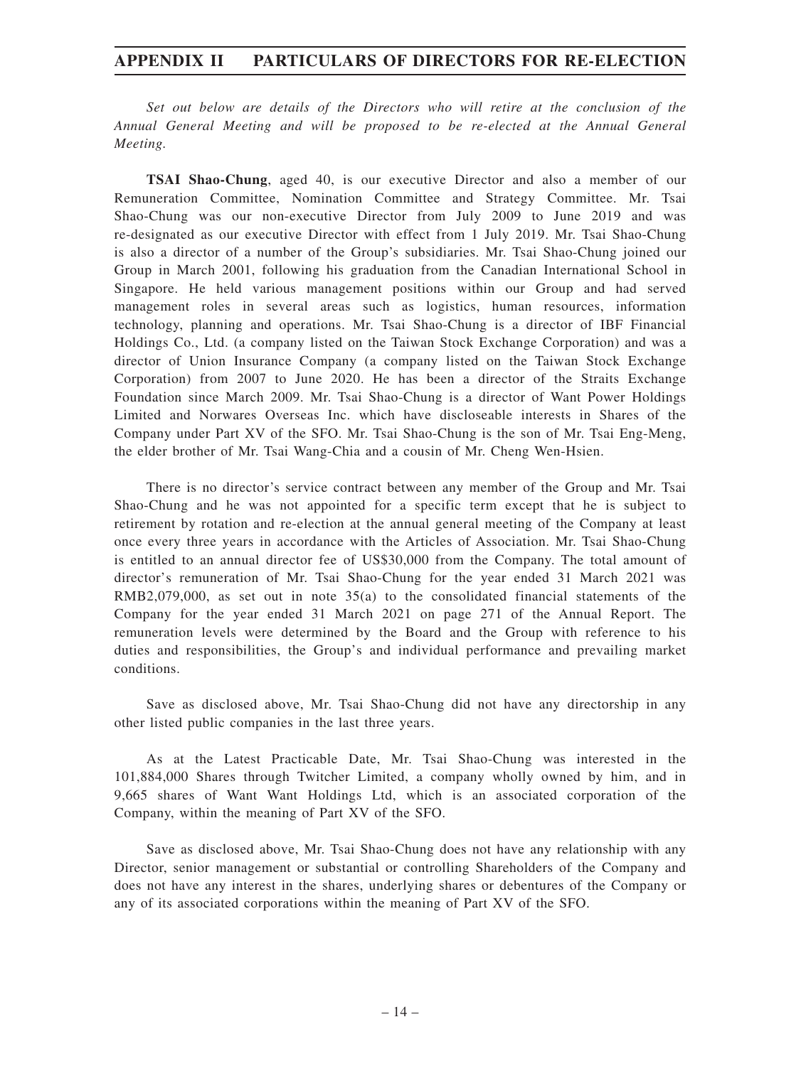*Set out below are details of the Directors who will retire at the conclusion of the Annual General Meeting and will be proposed to be re-elected at the Annual General Meeting.*

**TSAI Shao-Chung**, aged 40, is our executive Director and also a member of our Remuneration Committee, Nomination Committee and Strategy Committee. Mr. Tsai Shao-Chung was our non-executive Director from July 2009 to June 2019 and was re-designated as our executive Director with effect from 1 July 2019. Mr. Tsai Shao-Chung is also a director of a number of the Group's subsidiaries. Mr. Tsai Shao-Chung joined our Group in March 2001, following his graduation from the Canadian International School in Singapore. He held various management positions within our Group and had served management roles in several areas such as logistics, human resources, information technology, planning and operations. Mr. Tsai Shao-Chung is a director of IBF Financial Holdings Co., Ltd. (a company listed on the Taiwan Stock Exchange Corporation) and was a director of Union Insurance Company (a company listed on the Taiwan Stock Exchange Corporation) from 2007 to June 2020. He has been a director of the Straits Exchange Foundation since March 2009. Mr. Tsai Shao-Chung is a director of Want Power Holdings Limited and Norwares Overseas Inc. which have discloseable interests in Shares of the Company under Part XV of the SFO. Mr. Tsai Shao-Chung is the son of Mr. Tsai Eng-Meng, the elder brother of Mr. Tsai Wang-Chia and a cousin of Mr. Cheng Wen-Hsien.

There is no director's service contract between any member of the Group and Mr. Tsai Shao-Chung and he was not appointed for a specific term except that he is subject to retirement by rotation and re-election at the annual general meeting of the Company at least once every three years in accordance with the Articles of Association. Mr. Tsai Shao-Chung is entitled to an annual director fee of US\$30,000 from the Company. The total amount of director's remuneration of Mr. Tsai Shao-Chung for the year ended 31 March 2021 was RMB2,079,000, as set out in note 35(a) to the consolidated financial statements of the Company for the year ended 31 March 2021 on page 271 of the Annual Report. The remuneration levels were determined by the Board and the Group with reference to his duties and responsibilities, the Group's and individual performance and prevailing market conditions.

Save as disclosed above, Mr. Tsai Shao-Chung did not have any directorship in any other listed public companies in the last three years.

As at the Latest Practicable Date, Mr. Tsai Shao-Chung was interested in the 101,884,000 Shares through Twitcher Limited, a company wholly owned by him, and in 9,665 shares of Want Want Holdings Ltd, which is an associated corporation of the Company, within the meaning of Part XV of the SFO.

Save as disclosed above, Mr. Tsai Shao-Chung does not have any relationship with any Director, senior management or substantial or controlling Shareholders of the Company and does not have any interest in the shares, underlying shares or debentures of the Company or any of its associated corporations within the meaning of Part XV of the SFO.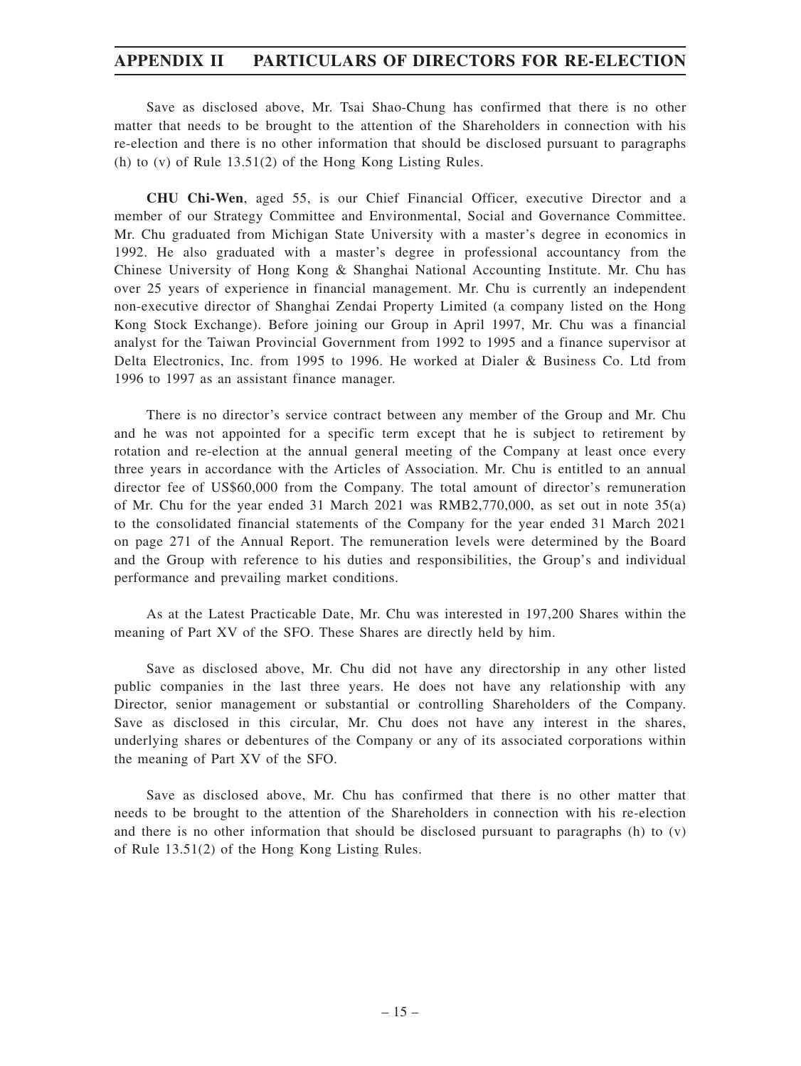Save as disclosed above, Mr. Tsai Shao-Chung has confirmed that there is no other matter that needs to be brought to the attention of the Shareholders in connection with his re-election and there is no other information that should be disclosed pursuant to paragraphs (h) to (v) of Rule 13.51(2) of the Hong Kong Listing Rules.

**CHU Chi-Wen**, aged 55, is our Chief Financial Officer, executive Director and a member of our Strategy Committee and Environmental, Social and Governance Committee. Mr. Chu graduated from Michigan State University with a master's degree in economics in 1992. He also graduated with a master's degree in professional accountancy from the Chinese University of Hong Kong & Shanghai National Accounting Institute. Mr. Chu has over 25 years of experience in financial management. Mr. Chu is currently an independent non-executive director of Shanghai Zendai Property Limited (a company listed on the Hong Kong Stock Exchange). Before joining our Group in April 1997, Mr. Chu was a financial analyst for the Taiwan Provincial Government from 1992 to 1995 and a finance supervisor at Delta Electronics, Inc. from 1995 to 1996. He worked at Dialer & Business Co. Ltd from 1996 to 1997 as an assistant finance manager.

There is no director's service contract between any member of the Group and Mr. Chu and he was not appointed for a specific term except that he is subject to retirement by rotation and re-election at the annual general meeting of the Company at least once every three years in accordance with the Articles of Association. Mr. Chu is entitled to an annual director fee of US\$60,000 from the Company. The total amount of director's remuneration of Mr. Chu for the year ended 31 March 2021 was RMB2,770,000, as set out in note 35(a) to the consolidated financial statements of the Company for the year ended 31 March 2021 on page 271 of the Annual Report. The remuneration levels were determined by the Board and the Group with reference to his duties and responsibilities, the Group's and individual performance and prevailing market conditions.

As at the Latest Practicable Date, Mr. Chu was interested in 197,200 Shares within the meaning of Part XV of the SFO. These Shares are directly held by him.

Save as disclosed above, Mr. Chu did not have any directorship in any other listed public companies in the last three years. He does not have any relationship with any Director, senior management or substantial or controlling Shareholders of the Company. Save as disclosed in this circular, Mr. Chu does not have any interest in the shares, underlying shares or debentures of the Company or any of its associated corporations within the meaning of Part XV of the SFO.

Save as disclosed above, Mr. Chu has confirmed that there is no other matter that needs to be brought to the attention of the Shareholders in connection with his re-election and there is no other information that should be disclosed pursuant to paragraphs (h) to (v) of Rule 13.51(2) of the Hong Kong Listing Rules.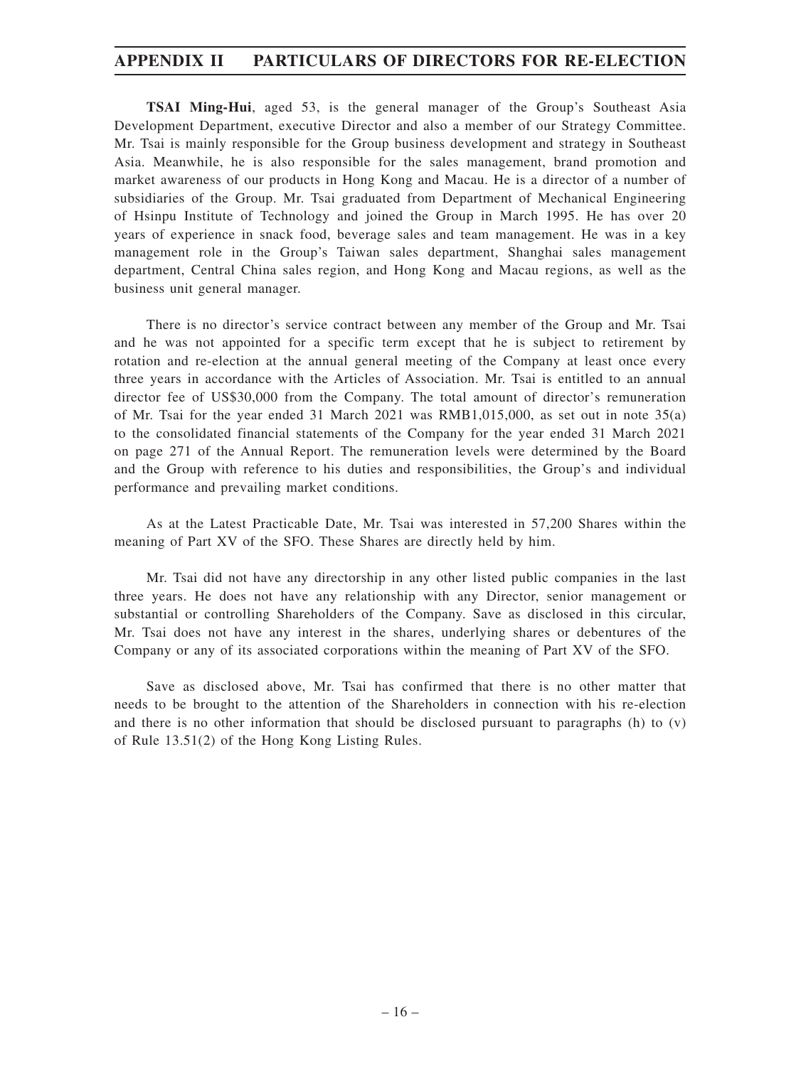**TSAI Ming-Hui**, aged 53, is the general manager of the Group's Southeast Asia Development Department, executive Director and also a member of our Strategy Committee. Mr. Tsai is mainly responsible for the Group business development and strategy in Southeast Asia. Meanwhile, he is also responsible for the sales management, brand promotion and market awareness of our products in Hong Kong and Macau. He is a director of a number of subsidiaries of the Group. Mr. Tsai graduated from Department of Mechanical Engineering of Hsinpu Institute of Technology and joined the Group in March 1995. He has over 20 years of experience in snack food, beverage sales and team management. He was in a key management role in the Group's Taiwan sales department, Shanghai sales management department, Central China sales region, and Hong Kong and Macau regions, as well as the business unit general manager.

There is no director's service contract between any member of the Group and Mr. Tsai and he was not appointed for a specific term except that he is subject to retirement by rotation and re-election at the annual general meeting of the Company at least once every three years in accordance with the Articles of Association. Mr. Tsai is entitled to an annual director fee of US\$30,000 from the Company. The total amount of director's remuneration of Mr. Tsai for the year ended 31 March 2021 was RMB1,015,000, as set out in note 35(a) to the consolidated financial statements of the Company for the year ended 31 March 2021 on page 271 of the Annual Report. The remuneration levels were determined by the Board and the Group with reference to his duties and responsibilities, the Group's and individual performance and prevailing market conditions.

As at the Latest Practicable Date, Mr. Tsai was interested in 57,200 Shares within the meaning of Part XV of the SFO. These Shares are directly held by him.

Mr. Tsai did not have any directorship in any other listed public companies in the last three years. He does not have any relationship with any Director, senior management or substantial or controlling Shareholders of the Company. Save as disclosed in this circular, Mr. Tsai does not have any interest in the shares, underlying shares or debentures of the Company or any of its associated corporations within the meaning of Part XV of the SFO.

Save as disclosed above, Mr. Tsai has confirmed that there is no other matter that needs to be brought to the attention of the Shareholders in connection with his re-election and there is no other information that should be disclosed pursuant to paragraphs  $(h)$  to  $(v)$ of Rule 13.51(2) of the Hong Kong Listing Rules.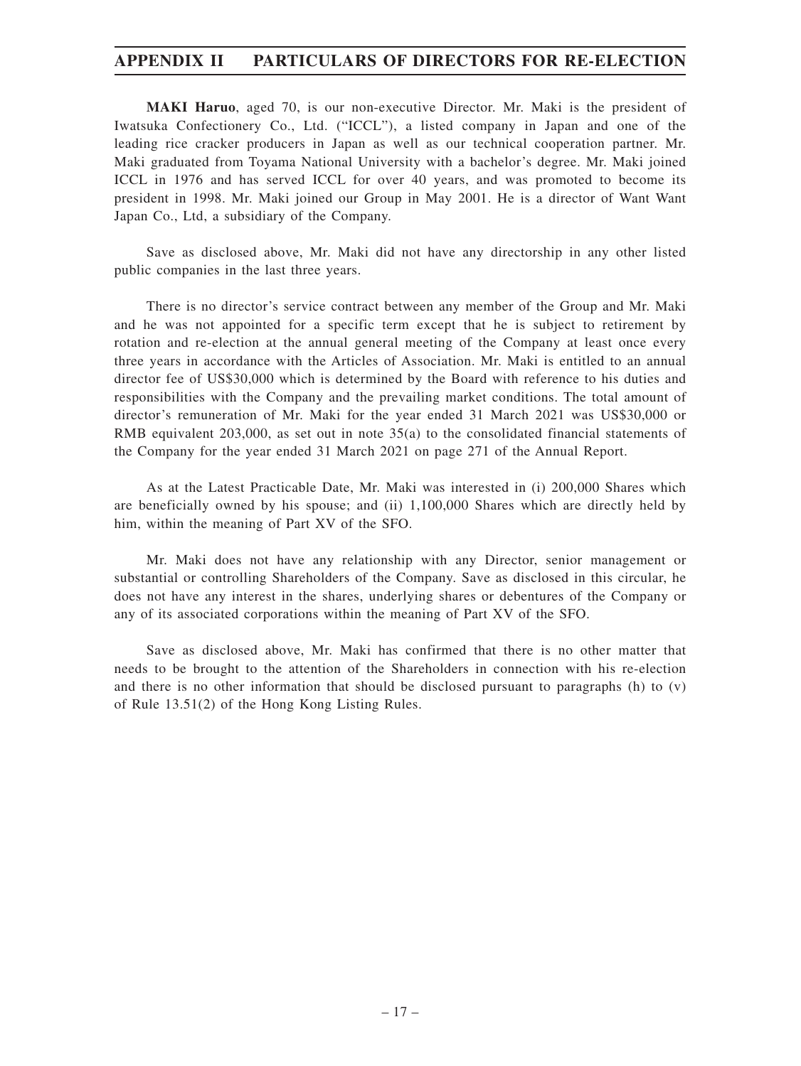**MAKI Haruo**, aged 70, is our non-executive Director. Mr. Maki is the president of Iwatsuka Confectionery Co., Ltd. ("ICCL"), a listed company in Japan and one of the leading rice cracker producers in Japan as well as our technical cooperation partner. Mr. Maki graduated from Toyama National University with a bachelor's degree. Mr. Maki joined ICCL in 1976 and has served ICCL for over 40 years, and was promoted to become its president in 1998. Mr. Maki joined our Group in May 2001. He is a director of Want Want Japan Co., Ltd, a subsidiary of the Company.

Save as disclosed above, Mr. Maki did not have any directorship in any other listed public companies in the last three years.

There is no director's service contract between any member of the Group and Mr. Maki and he was not appointed for a specific term except that he is subject to retirement by rotation and re-election at the annual general meeting of the Company at least once every three years in accordance with the Articles of Association. Mr. Maki is entitled to an annual director fee of US\$30,000 which is determined by the Board with reference to his duties and responsibilities with the Company and the prevailing market conditions. The total amount of director's remuneration of Mr. Maki for the year ended 31 March 2021 was US\$30,000 or RMB equivalent 203,000, as set out in note 35(a) to the consolidated financial statements of the Company for the year ended 31 March 2021 on page 271 of the Annual Report.

As at the Latest Practicable Date, Mr. Maki was interested in (i) 200,000 Shares which are beneficially owned by his spouse; and (ii) 1,100,000 Shares which are directly held by him, within the meaning of Part XV of the SFO.

Mr. Maki does not have any relationship with any Director, senior management or substantial or controlling Shareholders of the Company. Save as disclosed in this circular, he does not have any interest in the shares, underlying shares or debentures of the Company or any of its associated corporations within the meaning of Part XV of the SFO.

Save as disclosed above, Mr. Maki has confirmed that there is no other matter that needs to be brought to the attention of the Shareholders in connection with his re-election and there is no other information that should be disclosed pursuant to paragraphs (h) to (v) of Rule 13.51(2) of the Hong Kong Listing Rules.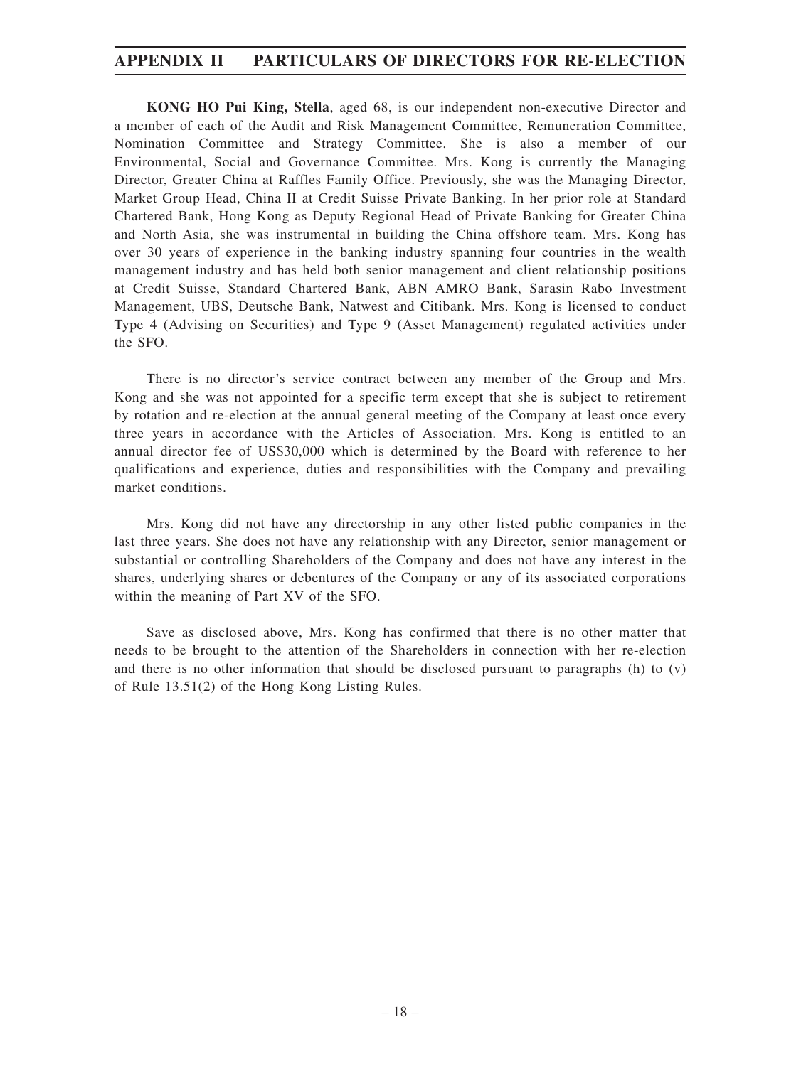**KONG HO Pui King, Stella**, aged 68, is our independent non-executive Director and a member of each of the Audit and Risk Management Committee, Remuneration Committee, Nomination Committee and Strategy Committee. She is also a member of our Environmental, Social and Governance Committee. Mrs. Kong is currently the Managing Director, Greater China at Raffles Family Office. Previously, she was the Managing Director, Market Group Head, China II at Credit Suisse Private Banking. In her prior role at Standard Chartered Bank, Hong Kong as Deputy Regional Head of Private Banking for Greater China and North Asia, she was instrumental in building the China offshore team. Mrs. Kong has over 30 years of experience in the banking industry spanning four countries in the wealth management industry and has held both senior management and client relationship positions at Credit Suisse, Standard Chartered Bank, ABN AMRO Bank, Sarasin Rabo Investment Management, UBS, Deutsche Bank, Natwest and Citibank. Mrs. Kong is licensed to conduct Type 4 (Advising on Securities) and Type 9 (Asset Management) regulated activities under the SFO.

There is no director's service contract between any member of the Group and Mrs. Kong and she was not appointed for a specific term except that she is subject to retirement by rotation and re-election at the annual general meeting of the Company at least once every three years in accordance with the Articles of Association. Mrs. Kong is entitled to an annual director fee of US\$30,000 which is determined by the Board with reference to her qualifications and experience, duties and responsibilities with the Company and prevailing market conditions.

Mrs. Kong did not have any directorship in any other listed public companies in the last three years. She does not have any relationship with any Director, senior management or substantial or controlling Shareholders of the Company and does not have any interest in the shares, underlying shares or debentures of the Company or any of its associated corporations within the meaning of Part XV of the SFO.

Save as disclosed above, Mrs. Kong has confirmed that there is no other matter that needs to be brought to the attention of the Shareholders in connection with her re-election and there is no other information that should be disclosed pursuant to paragraphs  $(h)$  to  $(v)$ of Rule 13.51(2) of the Hong Kong Listing Rules.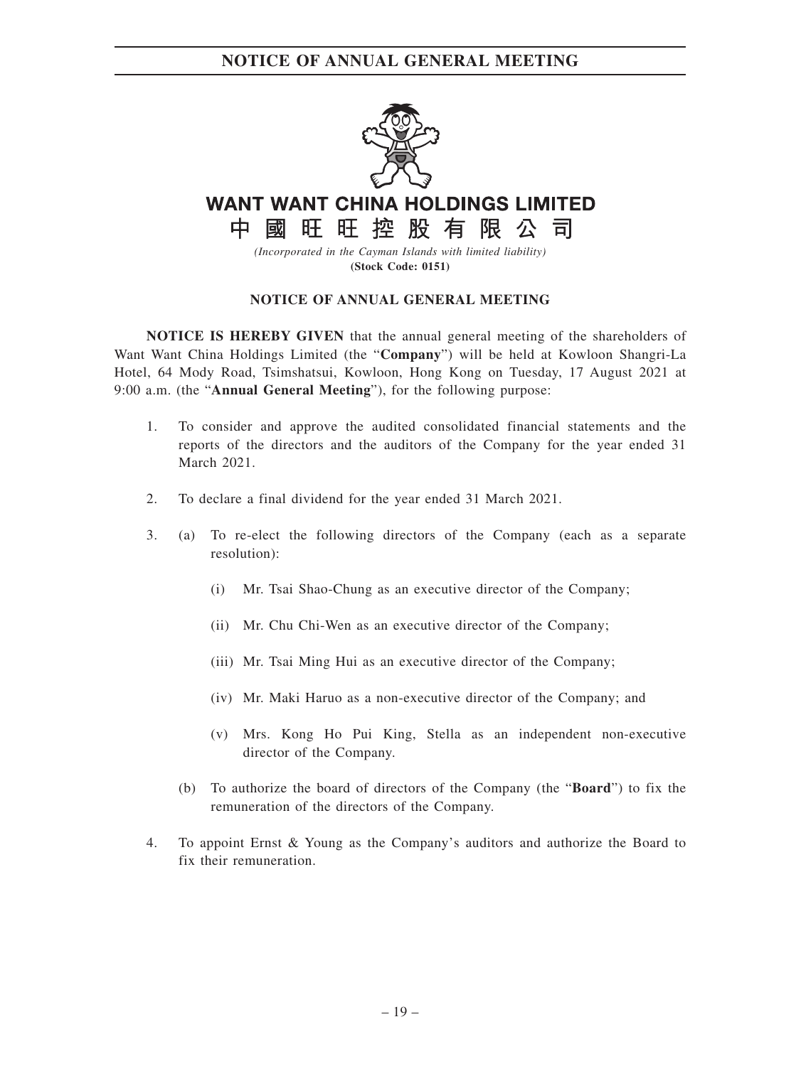

# **WANT WANT CHINA HOLDINGS LIMITED**

國旺旺控股有限公司 中

*(Incorporated in the Cayman Islands with limited liability)* **(Stock Code: 0151)**

### **NOTICE OF ANNUAL GENERAL MEETING**

**NOTICE IS HEREBY GIVEN** that the annual general meeting of the shareholders of Want Want China Holdings Limited (the "**Company**") will be held at Kowloon Shangri-La Hotel, 64 Mody Road, Tsimshatsui, Kowloon, Hong Kong on Tuesday, 17 August 2021 at 9:00 a.m. (the "**Annual General Meeting**"), for the following purpose:

- 1. To consider and approve the audited consolidated financial statements and the reports of the directors and the auditors of the Company for the year ended 31 March 2021.
- 2. To declare a final dividend for the year ended 31 March 2021.
- 3. (a) To re-elect the following directors of the Company (each as a separate resolution):
	- (i) Mr. Tsai Shao-Chung as an executive director of the Company;
	- (ii) Mr. Chu Chi-Wen as an executive director of the Company;
	- (iii) Mr. Tsai Ming Hui as an executive director of the Company;
	- (iv) Mr. Maki Haruo as a non-executive director of the Company; and
	- (v) Mrs. Kong Ho Pui King, Stella as an independent non-executive director of the Company.
	- (b) To authorize the board of directors of the Company (the "**Board**") to fix the remuneration of the directors of the Company.
- 4. To appoint Ernst & Young as the Company's auditors and authorize the Board to fix their remuneration.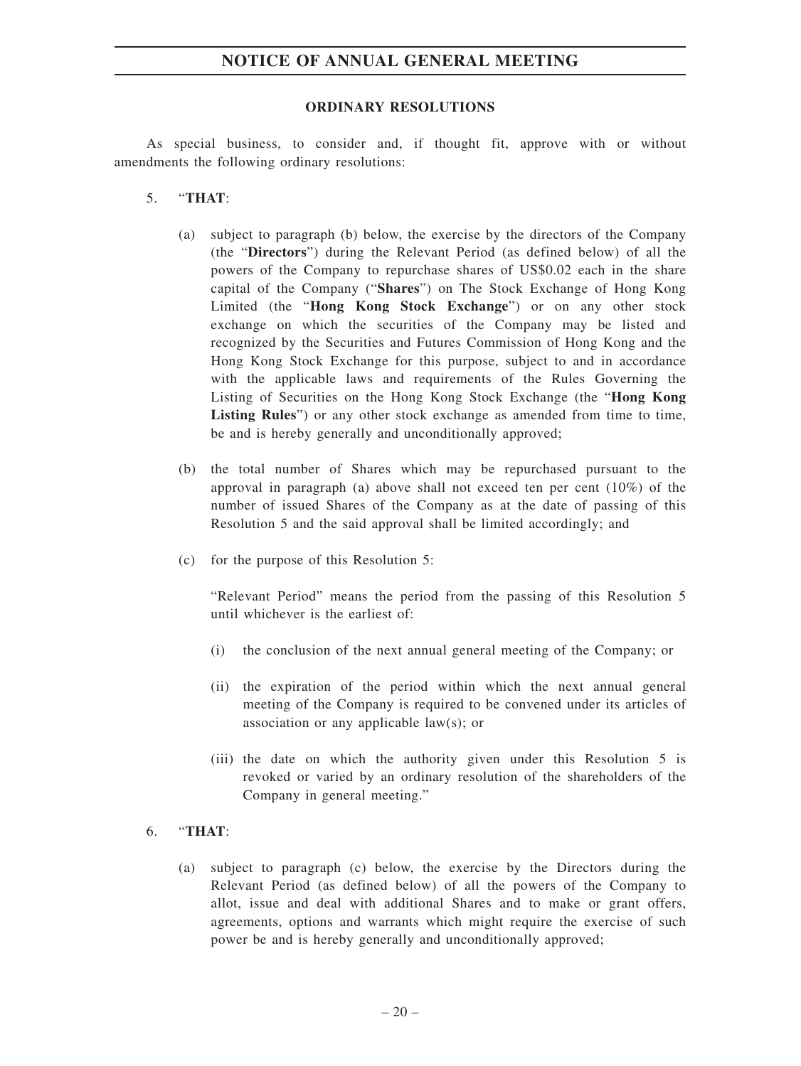### **ORDINARY RESOLUTIONS**

As special business, to consider and, if thought fit, approve with or without amendments the following ordinary resolutions:

- 5. "**THAT**:
	- (a) subject to paragraph (b) below, the exercise by the directors of the Company (the "**Directors**") during the Relevant Period (as defined below) of all the powers of the Company to repurchase shares of US\$0.02 each in the share capital of the Company ("**Shares**") on The Stock Exchange of Hong Kong Limited (the "**Hong Kong Stock Exchange**") or on any other stock exchange on which the securities of the Company may be listed and recognized by the Securities and Futures Commission of Hong Kong and the Hong Kong Stock Exchange for this purpose, subject to and in accordance with the applicable laws and requirements of the Rules Governing the Listing of Securities on the Hong Kong Stock Exchange (the "**Hong Kong Listing Rules**") or any other stock exchange as amended from time to time, be and is hereby generally and unconditionally approved;
	- (b) the total number of Shares which may be repurchased pursuant to the approval in paragraph (a) above shall not exceed ten per cent (10%) of the number of issued Shares of the Company as at the date of passing of this Resolution 5 and the said approval shall be limited accordingly; and
	- (c) for the purpose of this Resolution 5:

"Relevant Period" means the period from the passing of this Resolution 5 until whichever is the earliest of:

- (i) the conclusion of the next annual general meeting of the Company; or
- (ii) the expiration of the period within which the next annual general meeting of the Company is required to be convened under its articles of association or any applicable law(s); or
- (iii) the date on which the authority given under this Resolution 5 is revoked or varied by an ordinary resolution of the shareholders of the Company in general meeting."

### 6. "**THAT**:

(a) subject to paragraph (c) below, the exercise by the Directors during the Relevant Period (as defined below) of all the powers of the Company to allot, issue and deal with additional Shares and to make or grant offers, agreements, options and warrants which might require the exercise of such power be and is hereby generally and unconditionally approved;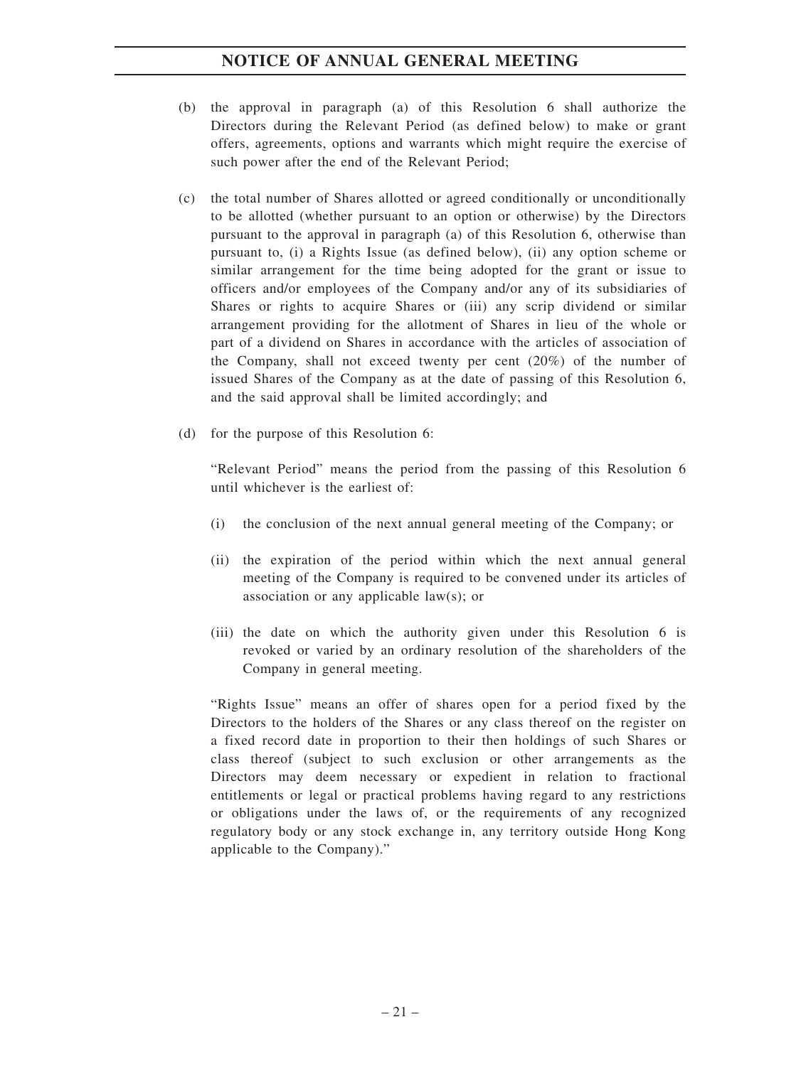- (b) the approval in paragraph (a) of this Resolution 6 shall authorize the Directors during the Relevant Period (as defined below) to make or grant offers, agreements, options and warrants which might require the exercise of such power after the end of the Relevant Period;
- (c) the total number of Shares allotted or agreed conditionally or unconditionally to be allotted (whether pursuant to an option or otherwise) by the Directors pursuant to the approval in paragraph (a) of this Resolution 6, otherwise than pursuant to, (i) a Rights Issue (as defined below), (ii) any option scheme or similar arrangement for the time being adopted for the grant or issue to officers and/or employees of the Company and/or any of its subsidiaries of Shares or rights to acquire Shares or (iii) any scrip dividend or similar arrangement providing for the allotment of Shares in lieu of the whole or part of a dividend on Shares in accordance with the articles of association of the Company, shall not exceed twenty per cent (20%) of the number of issued Shares of the Company as at the date of passing of this Resolution 6, and the said approval shall be limited accordingly; and
- (d) for the purpose of this Resolution 6:

"Relevant Period" means the period from the passing of this Resolution 6 until whichever is the earliest of:

- (i) the conclusion of the next annual general meeting of the Company; or
- (ii) the expiration of the period within which the next annual general meeting of the Company is required to be convened under its articles of association or any applicable law(s); or
- (iii) the date on which the authority given under this Resolution 6 is revoked or varied by an ordinary resolution of the shareholders of the Company in general meeting.

"Rights Issue" means an offer of shares open for a period fixed by the Directors to the holders of the Shares or any class thereof on the register on a fixed record date in proportion to their then holdings of such Shares or class thereof (subject to such exclusion or other arrangements as the Directors may deem necessary or expedient in relation to fractional entitlements or legal or practical problems having regard to any restrictions or obligations under the laws of, or the requirements of any recognized regulatory body or any stock exchange in, any territory outside Hong Kong applicable to the Company)."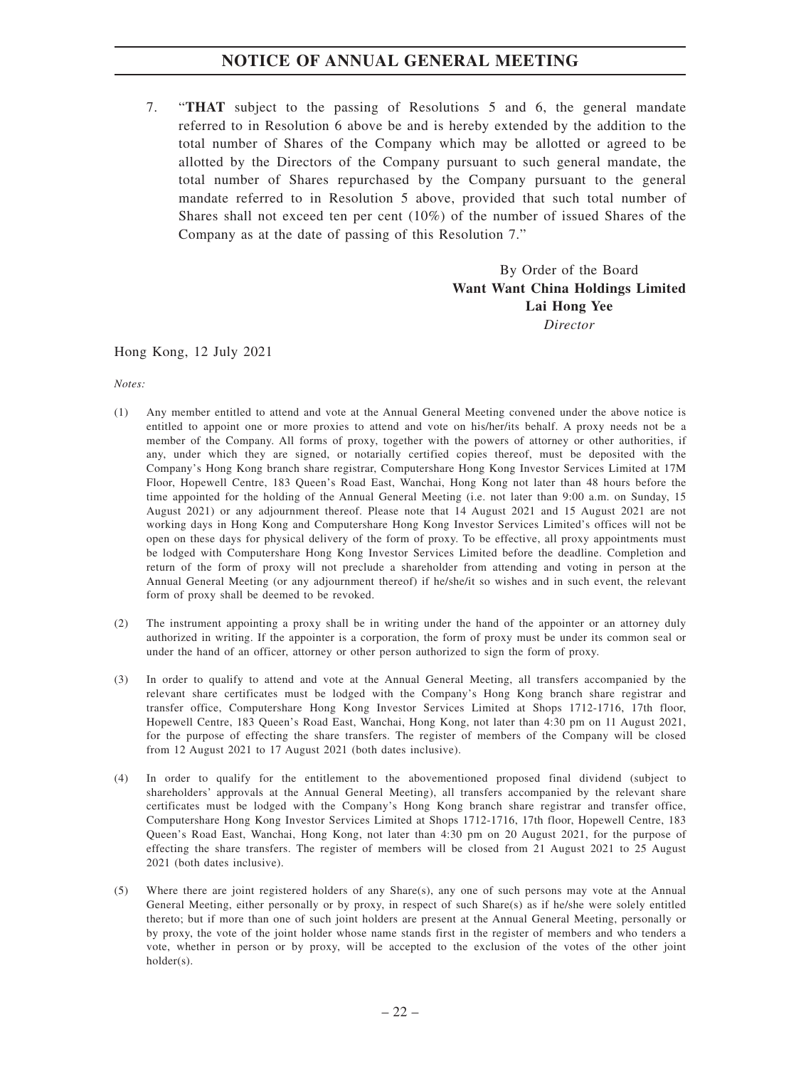7. "**THAT** subject to the passing of Resolutions 5 and 6, the general mandate referred to in Resolution 6 above be and is hereby extended by the addition to the total number of Shares of the Company which may be allotted or agreed to be allotted by the Directors of the Company pursuant to such general mandate, the total number of Shares repurchased by the Company pursuant to the general mandate referred to in Resolution 5 above, provided that such total number of Shares shall not exceed ten per cent (10%) of the number of issued Shares of the Company as at the date of passing of this Resolution 7."

> By Order of the Board **Want Want China Holdings Limited Lai Hong Yee** *Director*

### Hong Kong, 12 July 2021

*Notes:*

- (1) Any member entitled to attend and vote at the Annual General Meeting convened under the above notice is entitled to appoint one or more proxies to attend and vote on his/her/its behalf. A proxy needs not be a member of the Company. All forms of proxy, together with the powers of attorney or other authorities, if any, under which they are signed, or notarially certified copies thereof, must be deposited with the Company's Hong Kong branch share registrar, Computershare Hong Kong Investor Services Limited at 17M Floor, Hopewell Centre, 183 Queen's Road East, Wanchai, Hong Kong not later than 48 hours before the time appointed for the holding of the Annual General Meeting (i.e. not later than 9:00 a.m. on Sunday, 15 August 2021) or any adjournment thereof. Please note that 14 August 2021 and 15 August 2021 are not working days in Hong Kong and Computershare Hong Kong Investor Services Limited's offices will not be open on these days for physical delivery of the form of proxy. To be effective, all proxy appointments must be lodged with Computershare Hong Kong Investor Services Limited before the deadline. Completion and return of the form of proxy will not preclude a shareholder from attending and voting in person at the Annual General Meeting (or any adjournment thereof) if he/she/it so wishes and in such event, the relevant form of proxy shall be deemed to be revoked.
- (2) The instrument appointing a proxy shall be in writing under the hand of the appointer or an attorney duly authorized in writing. If the appointer is a corporation, the form of proxy must be under its common seal or under the hand of an officer, attorney or other person authorized to sign the form of proxy.
- (3) In order to qualify to attend and vote at the Annual General Meeting, all transfers accompanied by the relevant share certificates must be lodged with the Company's Hong Kong branch share registrar and transfer office, Computershare Hong Kong Investor Services Limited at Shops 1712-1716, 17th floor, Hopewell Centre, 183 Queen's Road East, Wanchai, Hong Kong, not later than 4:30 pm on 11 August 2021, for the purpose of effecting the share transfers. The register of members of the Company will be closed from 12 August 2021 to 17 August 2021 (both dates inclusive).
- (4) In order to qualify for the entitlement to the abovementioned proposed final dividend (subject to shareholders' approvals at the Annual General Meeting), all transfers accompanied by the relevant share certificates must be lodged with the Company's Hong Kong branch share registrar and transfer office, Computershare Hong Kong Investor Services Limited at Shops 1712-1716, 17th floor, Hopewell Centre, 183 Queen's Road East, Wanchai, Hong Kong, not later than 4:30 pm on 20 August 2021, for the purpose of effecting the share transfers. The register of members will be closed from 21 August 2021 to 25 August 2021 (both dates inclusive).
- (5) Where there are joint registered holders of any Share(s), any one of such persons may vote at the Annual General Meeting, either personally or by proxy, in respect of such Share(s) as if he/she were solely entitled thereto; but if more than one of such joint holders are present at the Annual General Meeting, personally or by proxy, the vote of the joint holder whose name stands first in the register of members and who tenders a vote, whether in person or by proxy, will be accepted to the exclusion of the votes of the other joint holder(s).